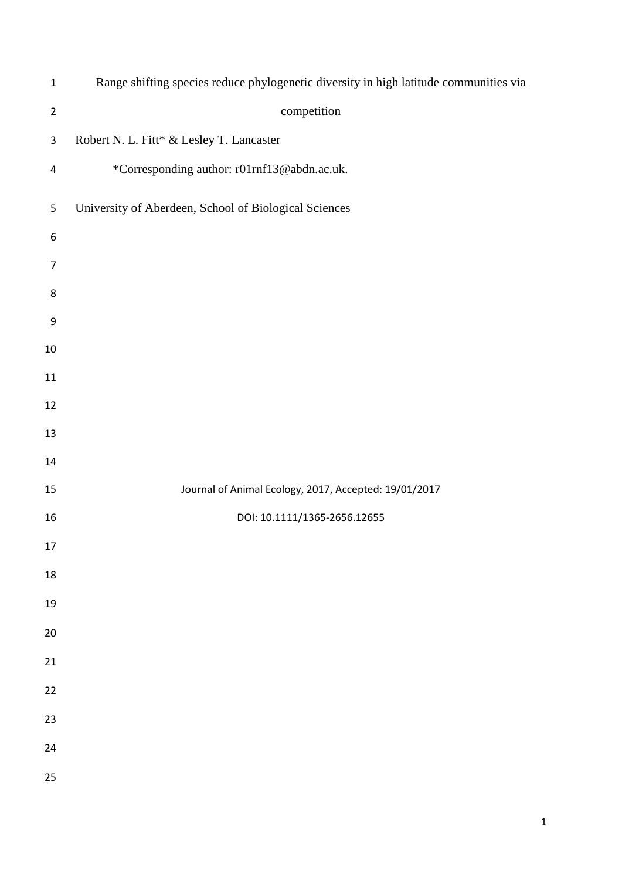| $\mathbf{1}$            | Range shifting species reduce phylogenetic diversity in high latitude communities via |
|-------------------------|---------------------------------------------------------------------------------------|
| $\overline{2}$          | competition                                                                           |
| $\mathsf 3$             | Robert N. L. Fitt* & Lesley T. Lancaster                                              |
| $\overline{\mathbf{4}}$ | *Corresponding author: r01rnf13@abdn.ac.uk.                                           |
| $\mathsf S$             | University of Aberdeen, School of Biological Sciences                                 |
| 6                       |                                                                                       |
| $\overline{7}$          |                                                                                       |
| 8                       |                                                                                       |
| 9                       |                                                                                       |
| $10\,$                  |                                                                                       |
| 11                      |                                                                                       |
| 12                      |                                                                                       |
| 13                      |                                                                                       |
| 14                      |                                                                                       |
| 15                      | Journal of Animal Ecology, 2017, Accepted: 19/01/2017                                 |
| 16                      | DOI: 10.1111/1365-2656.12655                                                          |
| 17                      |                                                                                       |
| 18                      |                                                                                       |
| 19                      |                                                                                       |
| 20                      |                                                                                       |
| 21                      |                                                                                       |
| 22                      |                                                                                       |
| 23                      |                                                                                       |
| 24                      |                                                                                       |
| 25                      |                                                                                       |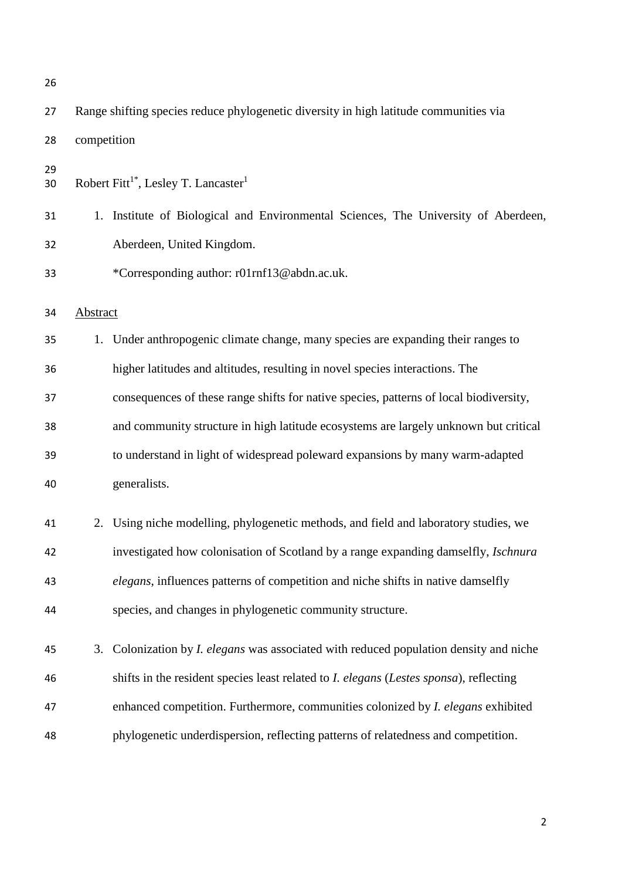| 26       |                 |                                                                                                |
|----------|-----------------|------------------------------------------------------------------------------------------------|
| 27       |                 | Range shifting species reduce phylogenetic diversity in high latitude communities via          |
| 28       | competition     |                                                                                                |
| 29<br>30 |                 | Robert Fitt <sup>1*</sup> , Lesley T. Lancaster <sup>1</sup>                                   |
| 31       |                 | 1. Institute of Biological and Environmental Sciences, The University of Aberdeen,             |
| 32       |                 | Aberdeen, United Kingdom.                                                                      |
| 33       |                 | *Corresponding author: r01rnf13@abdn.ac.uk.                                                    |
| 34       | <b>Abstract</b> |                                                                                                |
| 35       |                 | 1. Under anthropogenic climate change, many species are expanding their ranges to              |
| 36       |                 | higher latitudes and altitudes, resulting in novel species interactions. The                   |
| 37       |                 | consequences of these range shifts for native species, patterns of local biodiversity,         |
| 38       |                 | and community structure in high latitude ecosystems are largely unknown but critical           |
| 39       |                 | to understand in light of widespread poleward expansions by many warm-adapted                  |
| 40       |                 | generalists.                                                                                   |
| 41       | 2.              | Using niche modelling, phylogenetic methods, and field and laboratory studies, we              |
| 42       |                 | investigated how colonisation of Scotland by a range expanding damselfly, <i>Ischnura</i>      |
| 43       |                 | elegans, influences patterns of competition and niche shifts in native damselfly               |
| 44       |                 | species, and changes in phylogenetic community structure.                                      |
| 45       | 3.              | Colonization by <i>I. elegans</i> was associated with reduced population density and niche     |
| 46       |                 | shifts in the resident species least related to <i>I. elegans (Lestes sponsa)</i> , reflecting |
| 47       |                 | enhanced competition. Furthermore, communities colonized by <i>I. elegans</i> exhibited        |
| 48       |                 | phylogenetic underdispersion, reflecting patterns of relatedness and competition.              |
|          |                 |                                                                                                |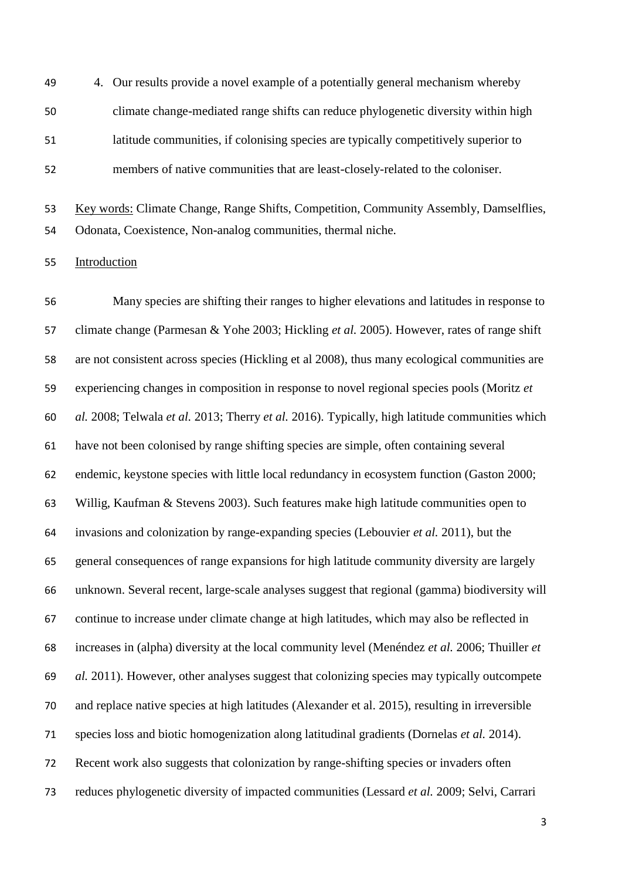4. Our results provide a novel example of a potentially general mechanism whereby climate change-mediated range shifts can reduce phylogenetic diversity within high latitude communities, if colonising species are typically competitively superior to members of native communities that are least-closely-related to the coloniser.

 Key words: Climate Change, Range Shifts, Competition, Community Assembly, Damselflies, Odonata, Coexistence, Non-analog communities, thermal niche.

## Introduction

 Many species are shifting their ranges to higher elevations and latitudes in response to climate change (Parmesan & Yohe 2003; Hickling *et al.* 2005). However, rates of range shift are not consistent across species (Hickling et al 2008), thus many ecological communities are experiencing changes in composition in response to novel regional species pools (Moritz *et al.* 2008; Telwala *et al.* 2013; Therry *et al.* 2016). Typically, high latitude communities which have not been colonised by range shifting species are simple, often containing several endemic, keystone species with little local redundancy in ecosystem function (Gaston 2000; Willig, Kaufman & Stevens 2003). Such features make high latitude communities open to invasions and colonization by range-expanding species (Lebouvier *et al.* 2011), but the general consequences of range expansions for high latitude community diversity are largely unknown. Several recent, large-scale analyses suggest that regional (gamma) biodiversity will continue to increase under climate change at high latitudes, which may also be reflected in increases in (alpha) diversity at the local community level (Menéndez *et al.* 2006; Thuiller *et al.* 2011). However, other analyses suggest that colonizing species may typically outcompete and replace native species at high latitudes (Alexander et al. 2015), resulting in irreversible species loss and biotic homogenization along latitudinal gradients (Dornelas *et al.* 2014). Recent work also suggests that colonization by range-shifting species or invaders often reduces phylogenetic diversity of impacted communities (Lessard *et al.* 2009; Selvi, Carrari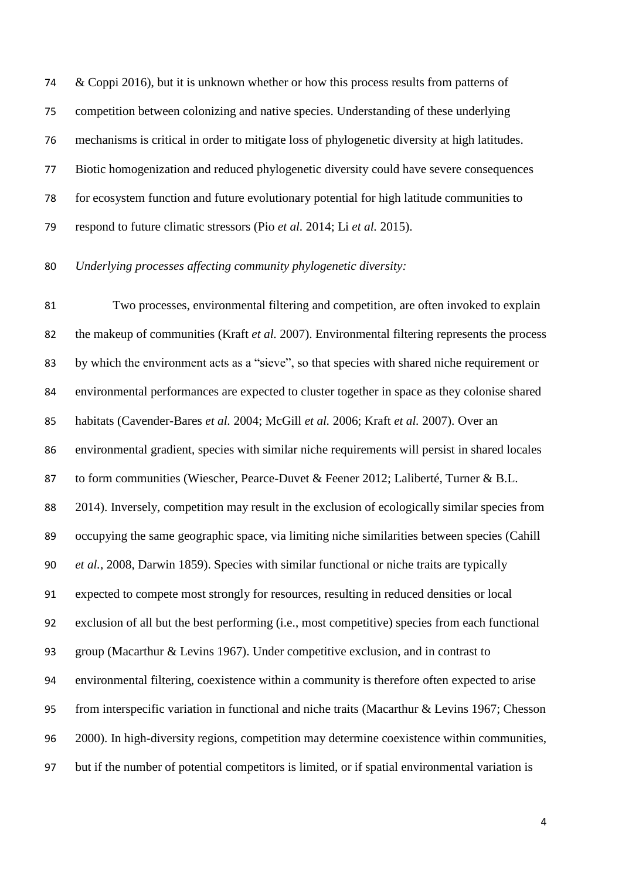& Coppi 2016), but it is unknown whether or how this process results from patterns of competition between colonizing and native species. Understanding of these underlying mechanisms is critical in order to mitigate loss of phylogenetic diversity at high latitudes. Biotic homogenization and reduced phylogenetic diversity could have severe consequences for ecosystem function and future evolutionary potential for high latitude communities to respond to future climatic stressors (Pio *et al.* 2014; Li *et al.* 2015).

#### *Underlying processes affecting community phylogenetic diversity:*

 Two processes, environmental filtering and competition, are often invoked to explain the makeup of communities (Kraft *et al.* 2007). Environmental filtering represents the process by which the environment acts as a "sieve", so that species with shared niche requirement or environmental performances are expected to cluster together in space as they colonise shared habitats (Cavender-Bares *et al.* 2004; McGill *et al.* 2006; Kraft *et al.* 2007). Over an environmental gradient, species with similar niche requirements will persist in shared locales to form communities (Wiescher, Pearce-Duvet & Feener 2012; Laliberté, Turner & B.L. 2014). Inversely, competition may result in the exclusion of ecologically similar species from occupying the same geographic space, via limiting niche similarities between species (Cahill *et al.*, 2008, Darwin 1859). Species with similar functional or niche traits are typically expected to compete most strongly for resources, resulting in reduced densities or local exclusion of all but the best performing (i.e., most competitive) species from each functional group (Macarthur & Levins 1967). Under competitive exclusion, and in contrast to environmental filtering, coexistence within a community is therefore often expected to arise from interspecific variation in functional and niche traits (Macarthur & Levins 1967; Chesson 2000). In high-diversity regions, competition may determine coexistence within communities, but if the number of potential competitors is limited, or if spatial environmental variation is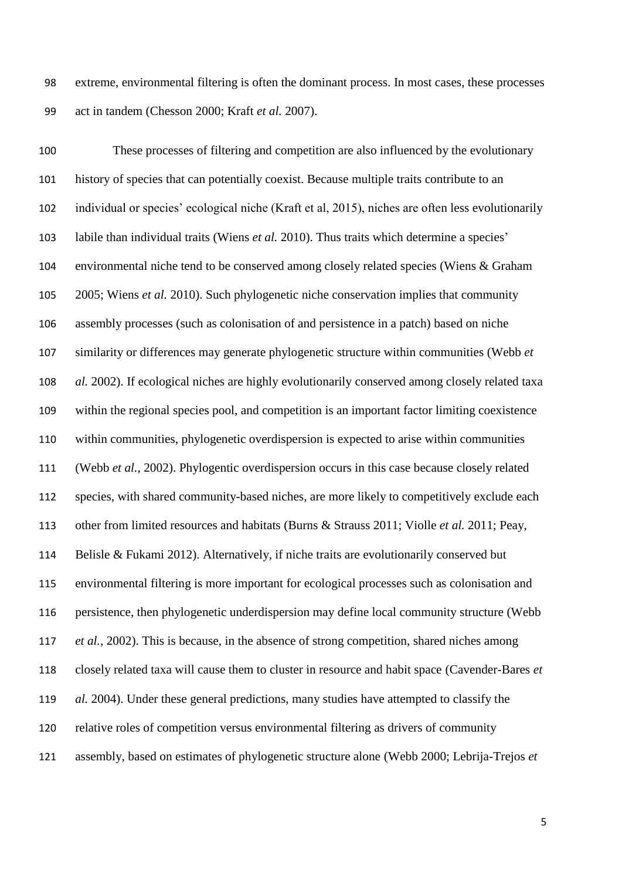extreme, environmental filtering is often the dominant process. In most cases, these processes act in tandem (Chesson 2000; Kraft *et al.* 2007).

 These processes of filtering and competition are also influenced by the evolutionary history of species that can potentially coexist. Because multiple traits contribute to an individual or species' ecological niche (Kraft et al, 2015), niches are often less evolutionarily labile than individual traits (Wiens *et al.* 2010). Thus traits which determine a species' environmental niche tend to be conserved among closely related species (Wiens & Graham 2005; Wiens *et al.* 2010). Such phylogenetic niche conservation implies that community assembly processes (such as colonisation of and persistence in a patch) based on niche similarity or differences may generate phylogenetic structure within communities (Webb *et al.* 2002). If ecological niches are highly evolutionarily conserved among closely related taxa within the regional species pool, and competition is an important factor limiting coexistence within communities, phylogenetic overdispersion is expected to arise within communities (Webb *et al.,* 2002). Phylogentic overdispersion occurs in this case because closely related species, with shared community-based niches, are more likely to competitively exclude each other from limited resources and habitats (Burns & Strauss 2011; Violle *et al.* 2011; Peay, Belisle & Fukami 2012). Alternatively, if niche traits are evolutionarily conserved but environmental filtering is more important for ecological processes such as colonisation and persistence, then phylogenetic underdispersion may define local community structure (Webb *et al.,* 2002). This is because, in the absence of strong competition, shared niches among closely related taxa will cause them to cluster in resource and habit space (Cavender-Bares *et al.* 2004). Under these general predictions, many studies have attempted to classify the relative roles of competition versus environmental filtering as drivers of community assembly, based on estimates of phylogenetic structure alone (Webb 2000; Lebrija-Trejos *et*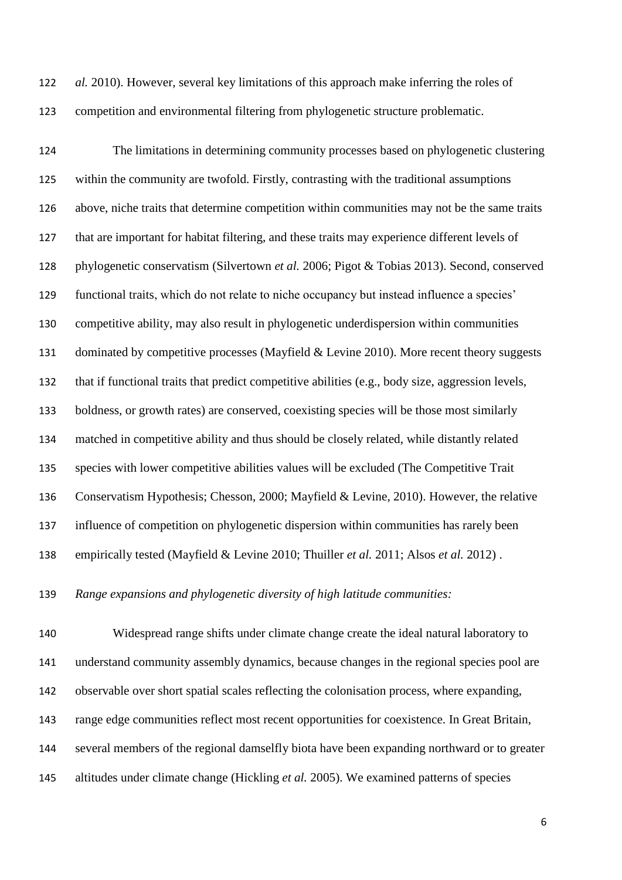*al.* 2010). However, several key limitations of this approach make inferring the roles of competition and environmental filtering from phylogenetic structure problematic.

 The limitations in determining community processes based on phylogenetic clustering within the community are twofold. Firstly, contrasting with the traditional assumptions above, niche traits that determine competition within communities may not be the same traits that are important for habitat filtering, and these traits may experience different levels of phylogenetic conservatism (Silvertown *et al.* 2006; Pigot & Tobias 2013). Second, conserved functional traits, which do not relate to niche occupancy but instead influence a species' competitive ability, may also result in phylogenetic underdispersion within communities 131 dominated by competitive processes (Mayfield & Levine 2010). More recent theory suggests that if functional traits that predict competitive abilities (e.g., body size, aggression levels, boldness, or growth rates) are conserved, coexisting species will be those most similarly matched in competitive ability and thus should be closely related, while distantly related species with lower competitive abilities values will be excluded (The Competitive Trait Conservatism Hypothesis; Chesson, 2000; Mayfield & Levine, 2010). However, the relative influence of competition on phylogenetic dispersion within communities has rarely been empirically tested (Mayfield & Levine 2010; Thuiller *et al.* 2011; Alsos *et al.* 2012) .

*Range expansions and phylogenetic diversity of high latitude communities:*

 Widespread range shifts under climate change create the ideal natural laboratory to understand community assembly dynamics, because changes in the regional species pool are observable over short spatial scales reflecting the colonisation process, where expanding, range edge communities reflect most recent opportunities for coexistence. In Great Britain, several members of the regional damselfly biota have been expanding northward or to greater altitudes under climate change (Hickling *et al.* 2005). We examined patterns of species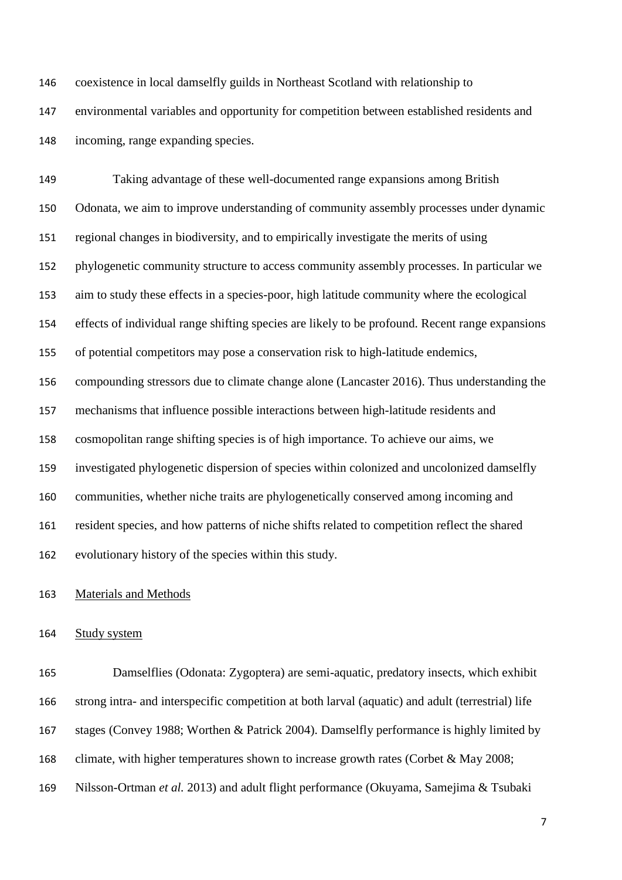coexistence in local damselfly guilds in Northeast Scotland with relationship to environmental variables and opportunity for competition between established residents and incoming, range expanding species.

 Taking advantage of these well-documented range expansions among British Odonata, we aim to improve understanding of community assembly processes under dynamic regional changes in biodiversity, and to empirically investigate the merits of using phylogenetic community structure to access community assembly processes. In particular we aim to study these effects in a species-poor, high latitude community where the ecological effects of individual range shifting species are likely to be profound. Recent range expansions of potential competitors may pose a conservation risk to high-latitude endemics, compounding stressors due to climate change alone (Lancaster 2016). Thus understanding the mechanisms that influence possible interactions between high-latitude residents and cosmopolitan range shifting species is of high importance. To achieve our aims, we investigated phylogenetic dispersion of species within colonized and uncolonized damselfly communities, whether niche traits are phylogenetically conserved among incoming and resident species, and how patterns of niche shifts related to competition reflect the shared evolutionary history of the species within this study.

Materials and Methods

#### Study system

 Damselflies (Odonata: Zygoptera) are semi-aquatic, predatory insects, which exhibit strong intra- and interspecific competition at both larval (aquatic) and adult (terrestrial) life stages (Convey 1988; Worthen & Patrick 2004). Damselfly performance is highly limited by 168 climate, with higher temperatures shown to increase growth rates (Corbet & May 2008; Nilsson-Ortman *et al.* 2013) and adult flight performance (Okuyama, Samejima & Tsubaki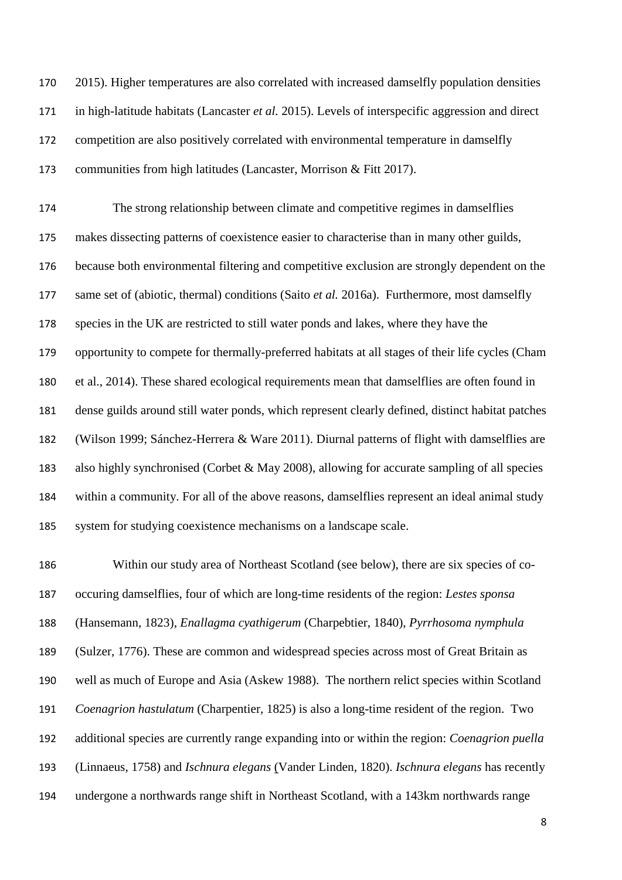2015). Higher temperatures are also correlated with increased damselfly population densities in high-latitude habitats (Lancaster *et al.* 2015). Levels of interspecific aggression and direct competition are also positively correlated with environmental temperature in damselfly communities from high latitudes (Lancaster, Morrison & Fitt 2017).

 The strong relationship between climate and competitive regimes in damselflies makes dissecting patterns of coexistence easier to characterise than in many other guilds, because both environmental filtering and competitive exclusion are strongly dependent on the same set of (abiotic, thermal) conditions (Saito *et al.* 2016a). Furthermore, most damselfly species in the UK are restricted to still water ponds and lakes, where they have the opportunity to compete for thermally-preferred habitats at all stages of their life cycles (Cham et al., 2014). These shared ecological requirements mean that damselflies are often found in dense guilds around still water ponds, which represent clearly defined, distinct habitat patches (Wilson 1999; Sánchez-Herrera & Ware 2011). Diurnal patterns of flight with damselflies are also highly synchronised (Corbet & May 2008), allowing for accurate sampling of all species within a community. For all of the above reasons, damselflies represent an ideal animal study system for studying coexistence mechanisms on a landscape scale.

 Within our study area of Northeast Scotland (see below), there are six species of co- occuring damselflies, four of which are long-time residents of the region: *Lestes sponsa* (Hansemann, 1823), *Enallagma cyathigerum* (Charpebtier, 1840), *Pyrrhosoma nymphula* (Sulzer, 1776). These are common and widespread species across most of Great Britain as well as much of Europe and Asia (Askew 1988). The northern relict species within Scotland *Coenagrion hastulatum* (Charpentier, 1825) is also a long-time resident of the region. Two additional species are currently range expanding into or within the region: *Coenagrion puella* (Linnaeus, 1758) and *Ischnura elegans* (Vander Linden, 1820). *Ischnura elegans* has recently undergone a northwards range shift in Northeast Scotland, with a 143km northwards range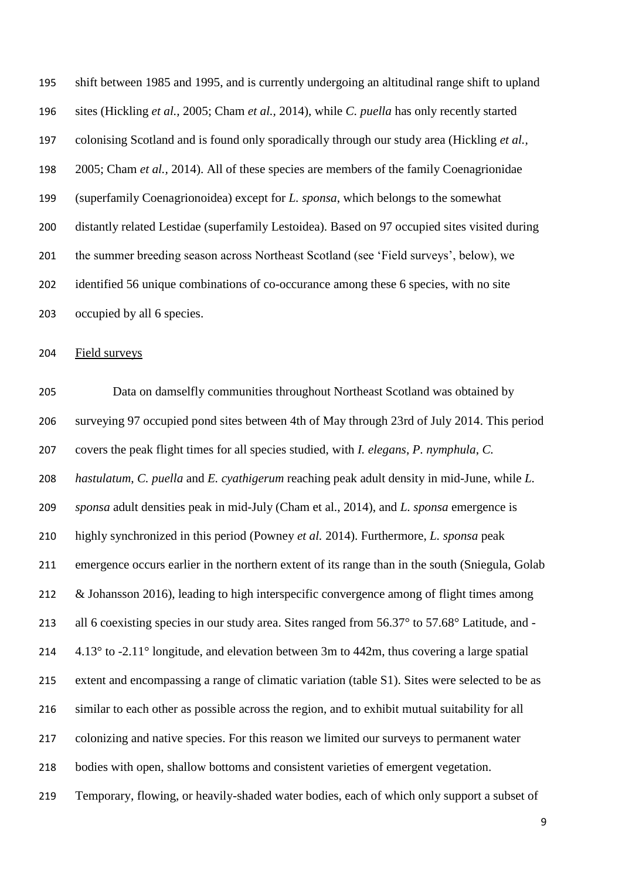shift between 1985 and 1995, and is currently undergoing an altitudinal range shift to upland sites (Hickling *et al.,* 2005; Cham *et al.,* 2014), while *C. puella* has only recently started colonising Scotland and is found only sporadically through our study area (Hickling *et al.,* 2005; Cham *et al.,* 2014). All of these species are members of the family Coenagrionidae (superfamily Coenagrionoidea) except for *L. sponsa*, which belongs to the somewhat distantly related Lestidae (superfamily Lestoidea). Based on 97 occupied sites visited during the summer breeding season across Northeast Scotland (see 'Field surveys', below), we identified 56 unique combinations of co-occurance among these 6 species, with no site occupied by all 6 species.

Field surveys

 Data on damselfly communities throughout Northeast Scotland was obtained by surveying 97 occupied pond sites between 4th of May through 23rd of July 2014. This period covers the peak flight times for all species studied, with *I. elegans*, *P. nymphula*, *C. hastulatum*, *C. puella* and *E. cyathigerum* reaching peak adult density in mid-June, while *L. sponsa* adult densities peak in mid-July (Cham et al., 2014), and *L. sponsa* emergence is highly synchronized in this period (Powney *et al.* 2014). Furthermore, *L. sponsa* peak emergence occurs earlier in the northern extent of its range than in the south (Sniegula, Golab 212 & Johansson 2016), leading to high interspecific convergence among of flight times among 213 all 6 coexisting species in our study area. Sites ranged from 56.37° to 57.68° Latitude, and - $4.13^{\circ}$  to  $-2.11^{\circ}$  longitude, and elevation between 3m to 442m, thus covering a large spatial extent and encompassing a range of climatic variation (table S1). Sites were selected to be as similar to each other as possible across the region, and to exhibit mutual suitability for all colonizing and native species. For this reason we limited our surveys to permanent water bodies with open, shallow bottoms and consistent varieties of emergent vegetation. Temporary, flowing, or heavily-shaded water bodies, each of which only support a subset of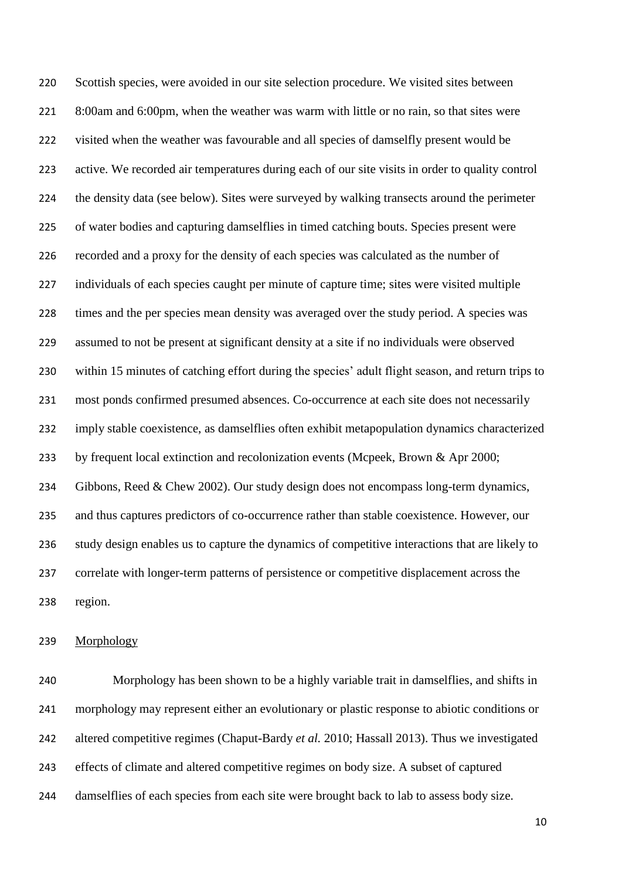Scottish species, were avoided in our site selection procedure. We visited sites between 8:00am and 6:00pm, when the weather was warm with little or no rain, so that sites were visited when the weather was favourable and all species of damselfly present would be active. We recorded air temperatures during each of our site visits in order to quality control the density data (see below). Sites were surveyed by walking transects around the perimeter of water bodies and capturing damselflies in timed catching bouts. Species present were recorded and a proxy for the density of each species was calculated as the number of individuals of each species caught per minute of capture time; sites were visited multiple times and the per species mean density was averaged over the study period. A species was assumed to not be present at significant density at a site if no individuals were observed within 15 minutes of catching effort during the species' adult flight season, and return trips to most ponds confirmed presumed absences. Co-occurrence at each site does not necessarily imply stable coexistence, as damselflies often exhibit metapopulation dynamics characterized by frequent local extinction and recolonization events (Mcpeek, Brown & Apr 2000; Gibbons, Reed & Chew 2002). Our study design does not encompass long-term dynamics, and thus captures predictors of co-occurrence rather than stable coexistence. However, our study design enables us to capture the dynamics of competitive interactions that are likely to correlate with longer-term patterns of persistence or competitive displacement across the region.

## Morphology

 Morphology has been shown to be a highly variable trait in damselflies, and shifts in morphology may represent either an evolutionary or plastic response to abiotic conditions or altered competitive regimes (Chaput-Bardy *et al.* 2010; Hassall 2013). Thus we investigated effects of climate and altered competitive regimes on body size. A subset of captured damselflies of each species from each site were brought back to lab to assess body size.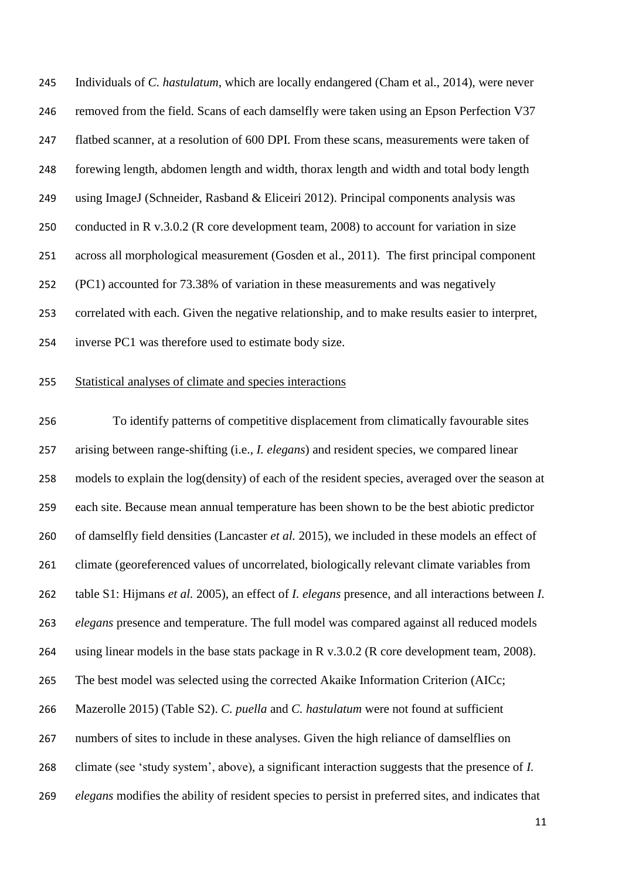Individuals of *C. hastulatum*, which are locally endangered (Cham et al., 2014), were never removed from the field. Scans of each damselfly were taken using an Epson Perfection V37 flatbed scanner, at a resolution of 600 DPI. From these scans, measurements were taken of forewing length, abdomen length and width, thorax length and width and total body length using ImageJ (Schneider, Rasband & Eliceiri 2012). Principal components analysis was conducted in R v.3.0.2 (R core development team, 2008) to account for variation in size across all morphological measurement (Gosden et al., 2011). The first principal component (PC1) accounted for 73.38% of variation in these measurements and was negatively correlated with each. Given the negative relationship, and to make results easier to interpret, inverse PC1 was therefore used to estimate body size.

### Statistical analyses of climate and species interactions

 To identify patterns of competitive displacement from climatically favourable sites arising between range-shifting (i.e., *I. elegans*) and resident species, we compared linear models to explain the log(density) of each of the resident species, averaged over the season at each site. Because mean annual temperature has been shown to be the best abiotic predictor of damselfly field densities (Lancaster *et al.* 2015), we included in these models an effect of climate (georeferenced values of uncorrelated, biologically relevant climate variables from table S1: Hijmans *et al.* 2005), an effect of *I. elegans* presence, and all interactions between *I. elegans* presence and temperature. The full model was compared against all reduced models using linear models in the base stats package in R v.3.0.2 (R core development team, 2008). The best model was selected using the corrected Akaike Information Criterion (AICc; Mazerolle 2015) (Table S2). *C. puella* and *C. hastulatum* were not found at sufficient numbers of sites to include in these analyses. Given the high reliance of damselflies on climate (see 'study system', above), a significant interaction suggests that the presence of *I. elegans* modifies the ability of resident species to persist in preferred sites, and indicates that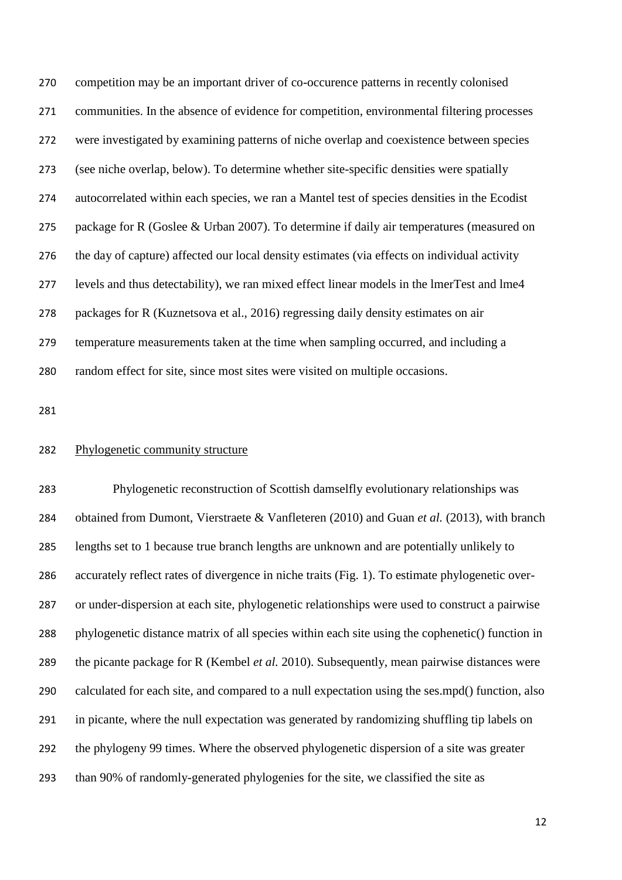competition may be an important driver of co-occurence patterns in recently colonised communities. In the absence of evidence for competition, environmental filtering processes were investigated by examining patterns of niche overlap and coexistence between species (see niche overlap, below). To determine whether site-specific densities were spatially autocorrelated within each species, we ran a Mantel test of species densities in the Ecodist package for R (Goslee & Urban 2007). To determine if daily air temperatures (measured on the day of capture) affected our local density estimates (via effects on individual activity levels and thus detectability), we ran mixed effect linear models in the lmerTest and lme4 packages for R (Kuznetsova et al., 2016) regressing daily density estimates on air temperature measurements taken at the time when sampling occurred, and including a random effect for site, since most sites were visited on multiple occasions.

#### Phylogenetic community structure

 Phylogenetic reconstruction of Scottish damselfly evolutionary relationships was obtained from Dumont, Vierstraete & Vanfleteren (2010) and Guan *et al.* (2013), with branch lengths set to 1 because true branch lengths are unknown and are potentially unlikely to accurately reflect rates of divergence in niche traits (Fig. 1). To estimate phylogenetic over- or under-dispersion at each site, phylogenetic relationships were used to construct a pairwise phylogenetic distance matrix of all species within each site using the cophenetic() function in the picante package for R (Kembel *et al.* 2010). Subsequently, mean pairwise distances were calculated for each site, and compared to a null expectation using the ses.mpd() function, also in picante, where the null expectation was generated by randomizing shuffling tip labels on the phylogeny 99 times. Where the observed phylogenetic dispersion of a site was greater than 90% of randomly-generated phylogenies for the site, we classified the site as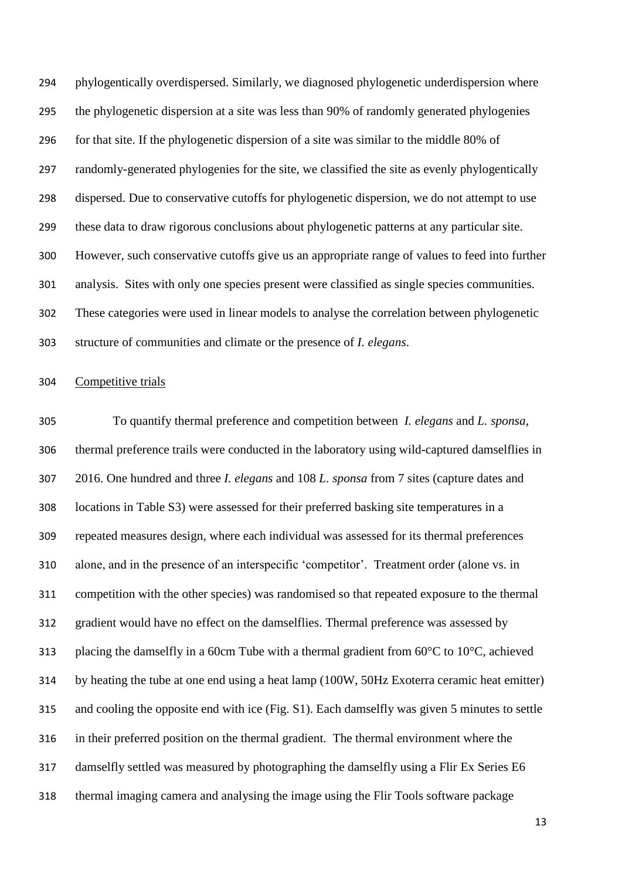phylogentically overdispersed. Similarly, we diagnosed phylogenetic underdispersion where the phylogenetic dispersion at a site was less than 90% of randomly generated phylogenies for that site. If the phylogenetic dispersion of a site was similar to the middle 80% of randomly-generated phylogenies for the site, we classified the site as evenly phylogentically dispersed. Due to conservative cutoffs for phylogenetic dispersion, we do not attempt to use these data to draw rigorous conclusions about phylogenetic patterns at any particular site. However, such conservative cutoffs give us an appropriate range of values to feed into further analysis. Sites with only one species present were classified as single species communities. These categories were used in linear models to analyse the correlation between phylogenetic structure of communities and climate or the presence of *I. elegans*.

#### Competitive trials

 To quantify thermal preference and competition between *I. elegans* and *L. sponsa*, thermal preference trails were conducted in the laboratory using wild-captured damselflies in 2016. One hundred and three *I. elegans* and 108 *L. sponsa* from 7 sites (capture dates and locations in Table S3) were assessed for their preferred basking site temperatures in a repeated measures design, where each individual was assessed for its thermal preferences alone, and in the presence of an interspecific 'competitor'. Treatment order (alone vs. in competition with the other species) was randomised so that repeated exposure to the thermal gradient would have no effect on the damselflies. Thermal preference was assessed by 313 placing the damselfly in a 60cm Tube with a thermal gradient from  $60^{\circ}$ C to  $10^{\circ}$ C, achieved by heating the tube at one end using a heat lamp (100W, 50Hz Exoterra ceramic heat emitter) and cooling the opposite end with ice (Fig. S1). Each damselfly was given 5 minutes to settle in their preferred position on the thermal gradient. The thermal environment where the damselfly settled was measured by photographing the damselfly using a Flir Ex Series E6 thermal imaging camera and analysing the image using the Flir Tools software package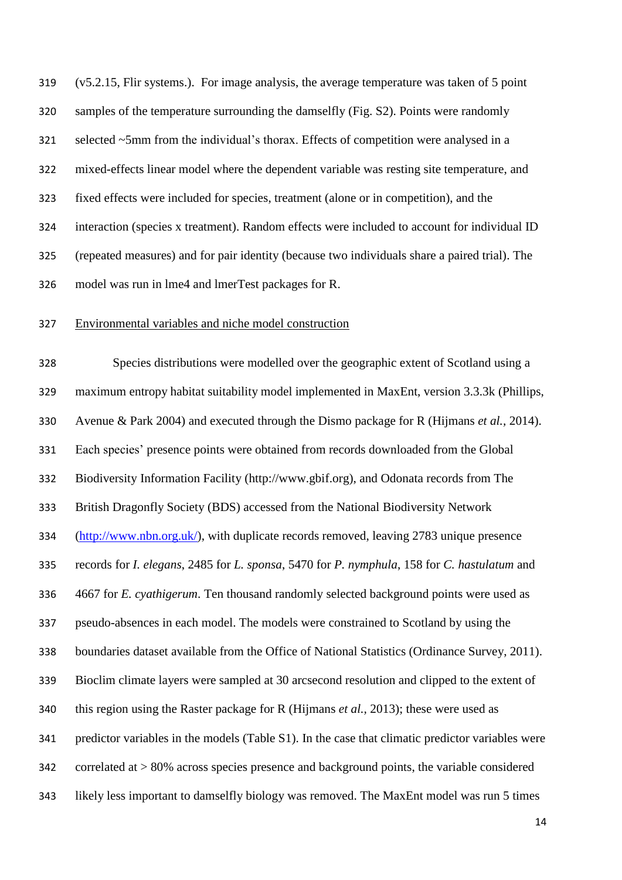(v5.2.15, Flir systems.). For image analysis, the average temperature was taken of 5 point samples of the temperature surrounding the damselfly (Fig. S2). Points were randomly selected ~5mm from the individual's thorax. Effects of competition were analysed in a mixed-effects linear model where the dependent variable was resting site temperature, and fixed effects were included for species, treatment (alone or in competition), and the interaction (species x treatment). Random effects were included to account for individual ID (repeated measures) and for pair identity (because two individuals share a paired trial). The model was run in lme4 and lmerTest packages for R.

#### Environmental variables and niche model construction

 Species distributions were modelled over the geographic extent of Scotland using a maximum entropy habitat suitability model implemented in MaxEnt, version 3.3.3k (Phillips, Avenue & Park 2004) and executed through the Dismo package for R (Hijmans *et al.,* 2014). Each species' presence points were obtained from records downloaded from the Global Biodiversity Information Facility (http://www.gbif.org), and Odonata records from The British Dragonfly Society (BDS) accessed from the National Biodiversity Network [\(http://www.nbn.org.uk/\)](http://www.nbn.org.uk/), with duplicate records removed, leaving 2783 unique presence records for *I. elegans*, 2485 for *L. sponsa*, 5470 for *P. nymphula*, 158 for *C. hastulatum* and 4667 for *E. cyathigerum*. Ten thousand randomly selected background points were used as pseudo-absences in each model. The models were constrained to Scotland by using the boundaries dataset available from the Office of National Statistics (Ordinance Survey, 2011). Bioclim climate layers were sampled at 30 arcsecond resolution and clipped to the extent of this region using the Raster package for R (Hijmans *et al.,* 2013); these were used as predictor variables in the models (Table S1). In the case that climatic predictor variables were correlated at > 80% across species presence and background points, the variable considered likely less important to damselfly biology was removed. The MaxEnt model was run 5 times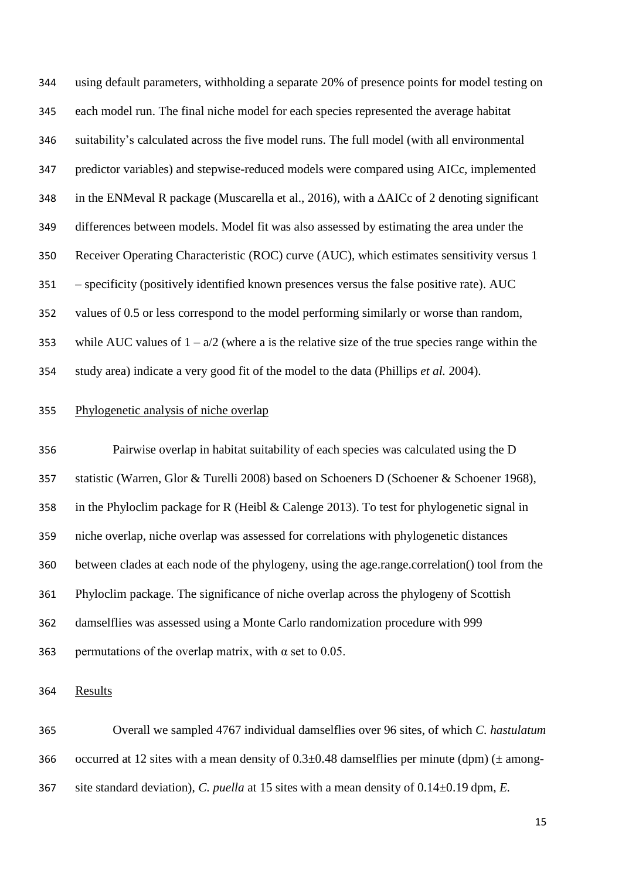using default parameters, withholding a separate 20% of presence points for model testing on each model run. The final niche model for each species represented the average habitat suitability's calculated across the five model runs. The full model (with all environmental predictor variables) and stepwise-reduced models were compared using AICc, implemented in the ENMeval R package (Muscarella et al., 2016), with a ΔAICc of 2 denoting significant differences between models. Model fit was also assessed by estimating the area under the Receiver Operating Characteristic (ROC) curve (AUC), which estimates sensitivity versus 1 – specificity (positively identified known presences versus the false positive rate). AUC values of 0.5 or less correspond to the model performing similarly or worse than random, 353 while AUC values of  $1 - a/2$  (where a is the relative size of the true species range within the study area) indicate a very good fit of the model to the data (Phillips *et al.* 2004).

## Phylogenetic analysis of niche overlap

 Pairwise overlap in habitat suitability of each species was calculated using the D statistic (Warren, Glor & Turelli 2008) based on Schoeners D (Schoener & Schoener 1968), in the Phyloclim package for R (Heibl & Calenge 2013). To test for phylogenetic signal in niche overlap, niche overlap was assessed for correlations with phylogenetic distances between clades at each node of the phylogeny, using the age.range.correlation() tool from the Phyloclim package. The significance of niche overlap across the phylogeny of Scottish damselflies was assessed using a Monte Carlo randomization procedure with 999 363 permutations of the overlap matrix, with  $\alpha$  set to 0.05.

Results

 Overall we sampled 4767 individual damselflies over 96 sites, of which *C. hastulatum* 366 occurred at 12 sites with a mean density of  $0.3\pm0.48$  damselflies per minute (dpm) ( $\pm$  among-site standard deviation), *C. puella* at 15 sites with a mean density of 0.14±0.19 dpm, *E.*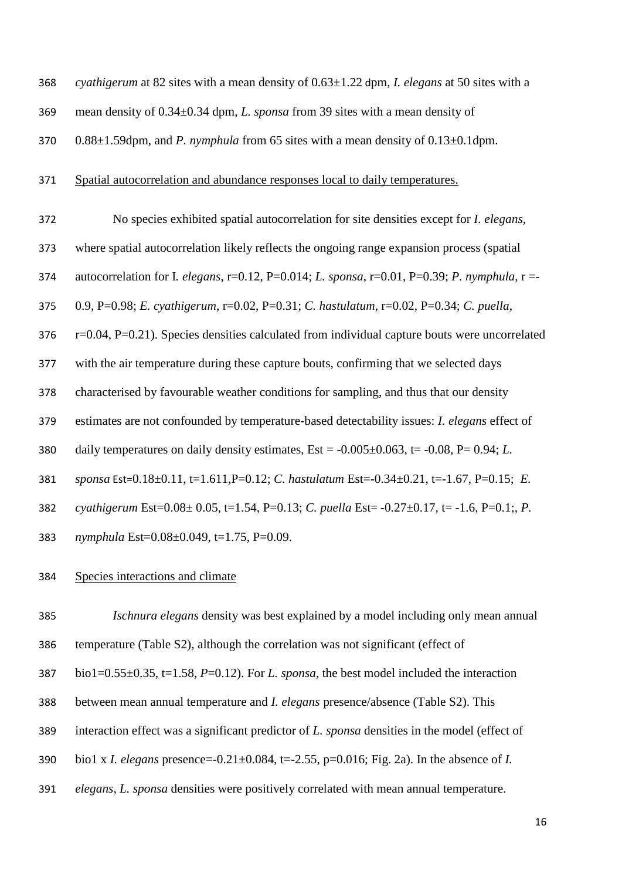| 368 | cyathigerum at 82 sites with a mean density of $0.63 \pm 1.22$ dpm, <i>I. elegans</i> at 50 sites with a |
|-----|----------------------------------------------------------------------------------------------------------|
| 369 | mean density of $0.34\pm0.34$ dpm, L. sponsa from 39 sites with a mean density of                        |
| 370 | $0.88\pm1.59$ dpm, and <i>P. nymphula</i> from 65 sites with a mean density of $0.13\pm0.1$ dpm.         |
| 371 | Spatial autocorrelation and abundance responses local to daily temperatures.                             |
| 372 | No species exhibited spatial autocorrelation for site densities except for <i>I. elegans</i> ,           |
| 373 | where spatial autocorrelation likely reflects the ongoing range expansion process (spatial               |
| 374 | autocorrelation for I. elegans, r=0.12, P=0.014; L. sponsa, r=0.01, P=0.39; P. nymphula, r =-            |
| 375 | 0.9, P=0.98; E. cyathigerum, r=0.02, P=0.31; C. hastulatum, r=0.02, P=0.34; C. puella,                   |
| 376 | $r=0.04$ , $P=0.21$ ). Species densities calculated from individual capture bouts were uncorrelated      |
| 377 | with the air temperature during these capture bouts, confirming that we selected days                    |
| 378 | characterised by favourable weather conditions for sampling, and thus that our density                   |
| 379 | estimates are not confounded by temperature-based detectability issues: <i>I. elegans</i> effect of      |
| 380 | daily temperatures on daily density estimates, $Est = -0.005 \pm 0.063$ , $t = -0.08$ , $P = 0.94$ ; L.  |
| 381 | sponsa Est=0.18±0.11, t=1.611, P=0.12; C. hastulatum Est=-0.34±0.21, t=-1.67, P=0.15; E.                 |
| 382 | cyathigerum Est=0.08± 0.05, t=1.54, P=0.13; C. puella Est= -0.27±0.17, t= -1.6, P=0.1;, P.               |
| 383 | nymphula Est=0.08±0.049, t=1.75, P=0.09.                                                                 |
|     |                                                                                                          |

# Species interactions and climate

 *Ischnura elegans* density was best explained by a model including only mean annual temperature (Table S2), although the correlation was not significant (effect of bio1=0.55±0.35, t=1.58, *P*=0.12). For *L. sponsa*, the best model included the interaction between mean annual temperature and *I. elegans* presence/absence (Table S2). This interaction effect was a significant predictor of *L. sponsa* densities in the model (effect of bio1 x *I. elegans* presence=-0.21±0.084, t=-2.55, p=0.016; Fig. 2a). In the absence of *I. elegans, L. sponsa* densities were positively correlated with mean annual temperature.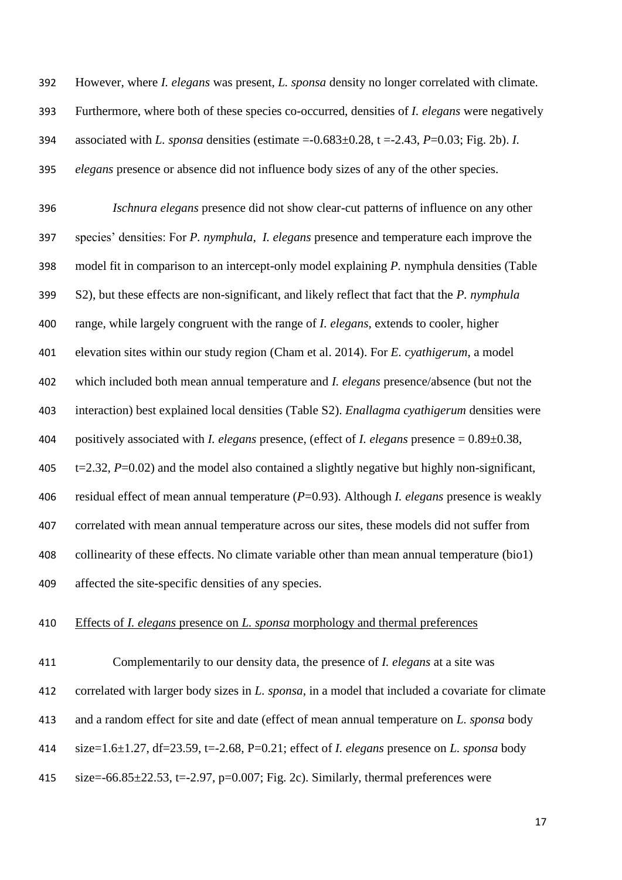However, where *I. elegans* was present, *L. sponsa* density no longer correlated with climate. Furthermore, where both of these species co-occurred, densities of *I. elegans* were negatively associated with *L. sponsa* densities (estimate =-0.683±0.28, t =-2.43, *P*=0.03; Fig. 2b). *I. elegans* presence or absence did not influence body sizes of any of the other species.

 *Ischnura elegans* presence did not show clear-cut patterns of influence on any other species' densities: For *P. nymphula*, *I. elegans* presence and temperature each improve the model fit in comparison to an intercept-only model explaining *P.* nymphula densities (Table S2), but these effects are non-significant, and likely reflect that fact that the *P. nymphula* range, while largely congruent with the range of *I. elegans*, extends to cooler, higher elevation sites within our study region (Cham et al. 2014). For *E. cyathigerum*, a model which included both mean annual temperature and *I. elegans* presence/absence (but not the interaction) best explained local densities (Table S2). *Enallagma cyathigerum* densities were positively associated with *I. elegans* presence, (effect of *I. elegans* presence = 0.89±0.38,  $t=2.32$ ,  $P=0.02$ ) and the model also contained a slightly negative but highly non-significant, residual effect of mean annual temperature (*P*=0.93). Although *I. elegans* presence is weakly correlated with mean annual temperature across our sites, these models did not suffer from collinearity of these effects. No climate variable other than mean annual temperature (bio1) affected the site-specific densities of any species.

## Effects of *I. elegans* presence on *L. sponsa* morphology and thermal preferences

 Complementarily to our density data, the presence of *I. elegans* at a site was correlated with larger body sizes in *L. sponsa*, in a model that included a covariate for climate and a random effect for site and date (effect of mean annual temperature on *L. sponsa* body size=1.6±1.27, df=23.59, t=-2.68, P=0.21; effect of *I. elegans* presence on *L. sponsa* body 415 size= $-66.85\pm 22.53$ , t= $-2.97$ , p= $0.007$ ; Fig. 2c). Similarly, thermal preferences were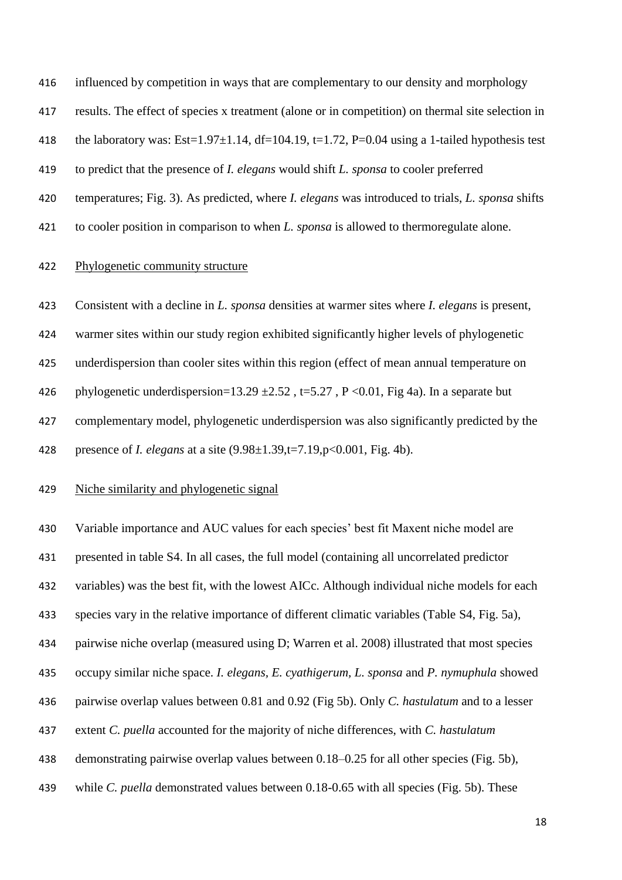influenced by competition in ways that are complementary to our density and morphology

results. The effect of species x treatment (alone or in competition) on thermal site selection in

418 the laboratory was:  $Est=1.97\pm1.14$ ,  $df=104.19$ ,  $t=1.72$ ,  $P=0.04$  using a 1-tailed hypothesis test

- to predict that the presence of *I. elegans* would shift *L. sponsa* to cooler preferred
- temperatures; Fig. 3). As predicted, where *I. elegans* was introduced to trials, *L. sponsa* shifts
- to cooler position in comparison to when *L. sponsa* is allowed to thermoregulate alone.

#### Phylogenetic community structure

 Consistent with a decline in *L. sponsa* densities at warmer sites where *I. elegans* is present, warmer sites within our study region exhibited significantly higher levels of phylogenetic underdispersion than cooler sites within this region (effect of mean annual temperature on 426 phylogenetic underdispersion=13.29  $\pm 2.52$ , t=5.27, P <0.01, Fig 4a). In a separate but complementary model, phylogenetic underdispersion was also significantly predicted by the presence of *I. elegans* at a site (9.98±1.39,t=7.19,p<0.001, Fig. 4b).

## Niche similarity and phylogenetic signal

 Variable importance and AUC values for each species' best fit Maxent niche model are presented in table S4. In all cases, the full model (containing all uncorrelated predictor variables) was the best fit, with the lowest AICc. Although individual niche models for each species vary in the relative importance of different climatic variables (Table S4, Fig. 5a), pairwise niche overlap (measured using D; Warren et al. 2008) illustrated that most species occupy similar niche space. *I. elegans, E. cyathigerum, L. sponsa* and *P. nymuphula* showed pairwise overlap values between 0.81 and 0.92 (Fig 5b). Only *C. hastulatum* and to a lesser extent *C. puella* accounted for the majority of niche differences, with *C. hastulatum* demonstrating pairwise overlap values between 0.18–0.25 for all other species (Fig. 5b), while *C. puella* demonstrated values between 0.18-0.65 with all species (Fig. 5b). These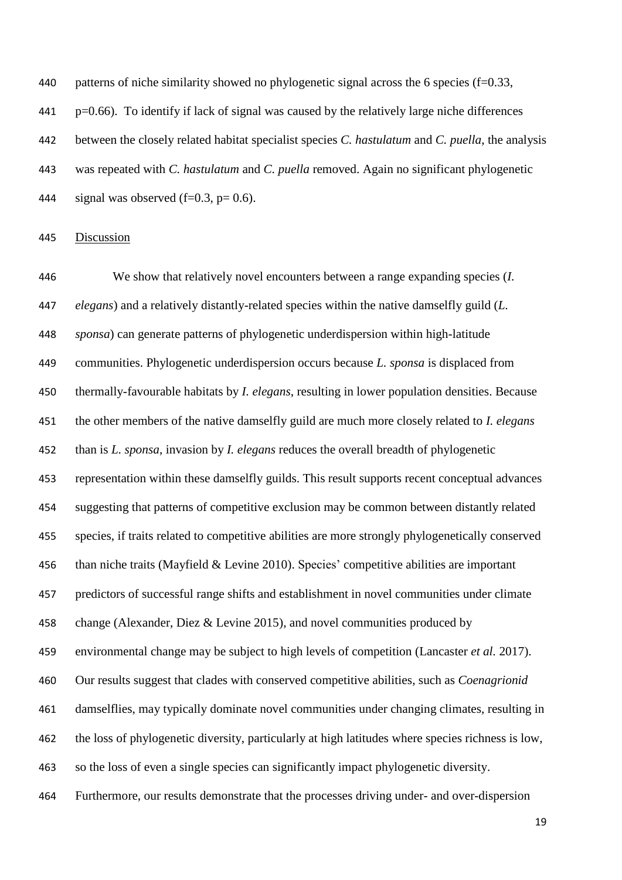patterns of niche similarity showed no phylogenetic signal across the 6 species (f=0.33,  $\mu$  p=0.66). To identify if lack of signal was caused by the relatively large niche differences between the closely related habitat specialist species *C. hastulatum* and *C. puella*, the analysis was repeated with *C. hastulatum* and *C. puella* removed. Again no significant phylogenetic 444 signal was observed  $(f=0.3, p=0.6)$ .

#### Discussion

 We show that relatively novel encounters between a range expanding species (*I. elegans*) and a relatively distantly-related species within the native damselfly guild (*L. sponsa*) can generate patterns of phylogenetic underdispersion within high-latitude communities. Phylogenetic underdispersion occurs because *L. sponsa* is displaced from thermally-favourable habitats by *I. elegans*, resulting in lower population densities. Because the other members of the native damselfly guild are much more closely related to *I. elegans* than is *L. sponsa*, invasion by *I. elegans* reduces the overall breadth of phylogenetic representation within these damselfly guilds. This result supports recent conceptual advances suggesting that patterns of competitive exclusion may be common between distantly related species, if traits related to competitive abilities are more strongly phylogenetically conserved than niche traits (Mayfield & Levine 2010). Species' competitive abilities are important predictors of successful range shifts and establishment in novel communities under climate change (Alexander, Diez & Levine 2015), and novel communities produced by environmental change may be subject to high levels of competition (Lancaster *et al.* 2017). Our results suggest that clades with conserved competitive abilities, such as *Coenagrionid* damselflies, may typically dominate novel communities under changing climates, resulting in the loss of phylogenetic diversity, particularly at high latitudes where species richness is low, so the loss of even a single species can significantly impact phylogenetic diversity. Furthermore, our results demonstrate that the processes driving under- and over-dispersion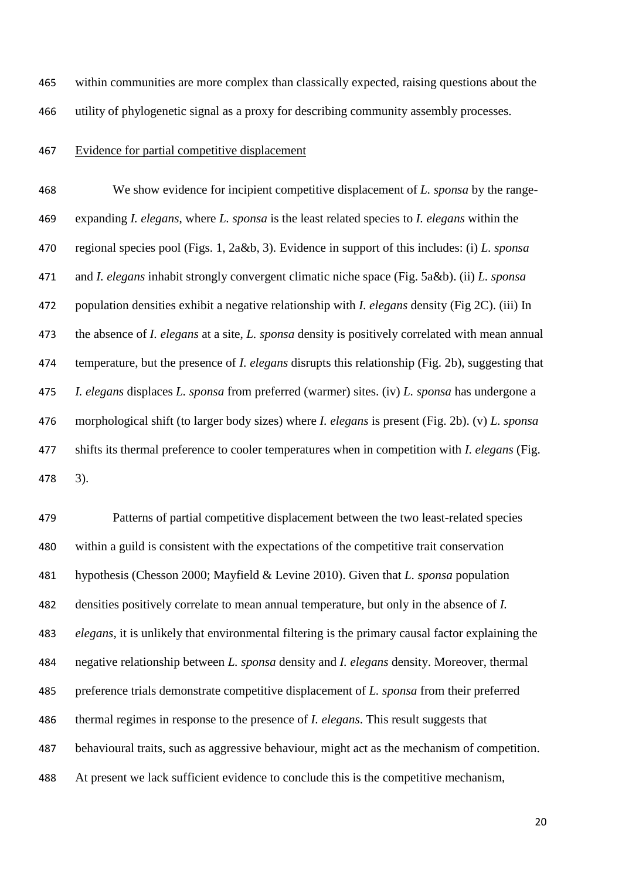within communities are more complex than classically expected, raising questions about the utility of phylogenetic signal as a proxy for describing community assembly processes.

### Evidence for partial competitive displacement

 We show evidence for incipient competitive displacement of *L. sponsa* by the range- expanding *I. elegans*, where *L. sponsa* is the least related species to *I. elegans* within the regional species pool (Figs. 1, 2a&b, 3). Evidence in support of this includes: (i) *L. sponsa* and *I. elegans* inhabit strongly convergent climatic niche space (Fig. 5a&b). (ii) *L. sponsa* population densities exhibit a negative relationship with *I. elegans* density (Fig 2C). (iii) In the absence of *I. elegans* at a site, *L. sponsa* density is positively correlated with mean annual temperature, but the presence of *I. elegans* disrupts this relationship (Fig. 2b), suggesting that *I. elegans* displaces *L. sponsa* from preferred (warmer) sites. (iv) *L. sponsa* has undergone a morphological shift (to larger body sizes) where *I. elegans* is present (Fig. 2b). (v) *L. sponsa*  shifts its thermal preference to cooler temperatures when in competition with *I. elegans* (Fig. 3).

 Patterns of partial competitive displacement between the two least-related species within a guild is consistent with the expectations of the competitive trait conservation hypothesis (Chesson 2000; Mayfield & Levine 2010). Given that *L. sponsa* population densities positively correlate to mean annual temperature, but only in the absence of *I. elegans*, it is unlikely that environmental filtering is the primary causal factor explaining the negative relationship between *L. sponsa* density and *I. elegans* density. Moreover, thermal preference trials demonstrate competitive displacement of *L. sponsa* from their preferred thermal regimes in response to the presence of *I. elegans*. This result suggests that behavioural traits, such as aggressive behaviour, might act as the mechanism of competition. At present we lack sufficient evidence to conclude this is the competitive mechanism,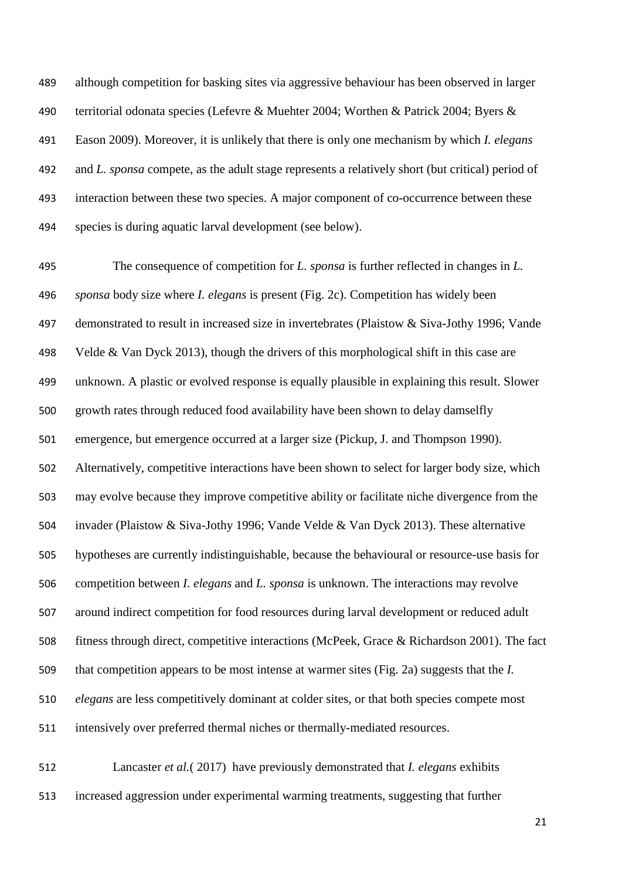although competition for basking sites via aggressive behaviour has been observed in larger territorial odonata species (Lefevre & Muehter 2004; Worthen & Patrick 2004; Byers & Eason 2009). Moreover, it is unlikely that there is only one mechanism by which *I. elegans* and *L. sponsa* compete, as the adult stage represents a relatively short (but critical) period of interaction between these two species. A major component of co-occurrence between these species is during aquatic larval development (see below).

 The consequence of competition for *L. sponsa* is further reflected in changes in *L. sponsa* body size where *I. elegans* is present (Fig. 2c). Competition has widely been demonstrated to result in increased size in invertebrates (Plaistow & Siva-Jothy 1996; Vande 498 Velde & Van Dyck 2013), though the drivers of this morphological shift in this case are unknown. A plastic or evolved response is equally plausible in explaining this result. Slower growth rates through reduced food availability have been shown to delay damselfly emergence, but emergence occurred at a larger size (Pickup, J. and Thompson 1990). Alternatively, competitive interactions have been shown to select for larger body size, which may evolve because they improve competitive ability or facilitate niche divergence from the invader (Plaistow & Siva-Jothy 1996; Vande Velde & Van Dyck 2013). These alternative hypotheses are currently indistinguishable, because the behavioural or resource-use basis for competition between *I. elegans* and *L. sponsa* is unknown. The interactions may revolve around indirect competition for food resources during larval development or reduced adult fitness through direct, competitive interactions (McPeek, Grace & Richardson 2001). The fact that competition appears to be most intense at warmer sites (Fig. 2a) suggests that the *I. elegans* are less competitively dominant at colder sites, or that both species compete most intensively over preferred thermal niches or thermally-mediated resources.

 Lancaster *et al.*( 2017) have previously demonstrated that *I. elegans* exhibits increased aggression under experimental warming treatments, suggesting that further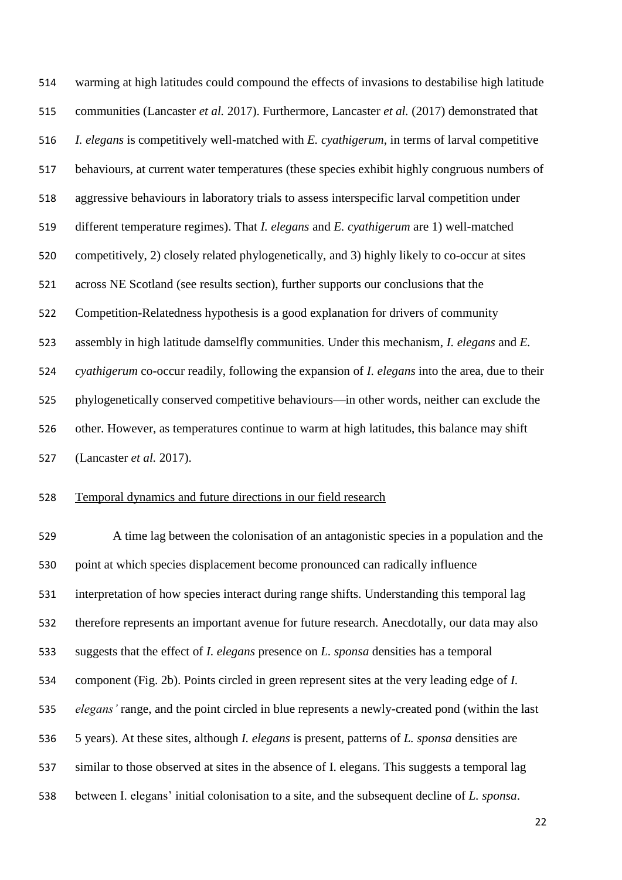warming at high latitudes could compound the effects of invasions to destabilise high latitude communities (Lancaster *et al.* 2017). Furthermore, Lancaster *et al.* (2017) demonstrated that *I. elegans* is competitively well-matched with *E. cyathigerum*, in terms of larval competitive behaviours, at current water temperatures (these species exhibit highly congruous numbers of aggressive behaviours in laboratory trials to assess interspecific larval competition under different temperature regimes). That *I. elegans* and *E. cyathigerum* are 1) well-matched competitively, 2) closely related phylogenetically, and 3) highly likely to co-occur at sites across NE Scotland (see results section), further supports our conclusions that the Competition-Relatedness hypothesis is a good explanation for drivers of community assembly in high latitude damselfly communities. Under this mechanism, *I. elegans* and *E. cyathigerum* co-occur readily, following the expansion of *I. elegans* into the area, due to their phylogenetically conserved competitive behaviours—in other words, neither can exclude the other. However, as temperatures continue to warm at high latitudes, this balance may shift (Lancaster *et al.* 2017).

#### Temporal dynamics and future directions in our field research

 A time lag between the colonisation of an antagonistic species in a population and the point at which species displacement become pronounced can radically influence interpretation of how species interact during range shifts. Understanding this temporal lag therefore represents an important avenue for future research. Anecdotally, our data may also suggests that the effect of *I. elegans* presence on *L. sponsa* densities has a temporal component (Fig. 2b). Points circled in green represent sites at the very leading edge of *I. elegans'* range, and the point circled in blue represents a newly-created pond (within the last 5 years). At these sites, although *I. elegans* is present, patterns of *L. sponsa* densities are similar to those observed at sites in the absence of I. elegans. This suggests a temporal lag between I. elegans' initial colonisation to a site, and the subsequent decline of *L. sponsa*.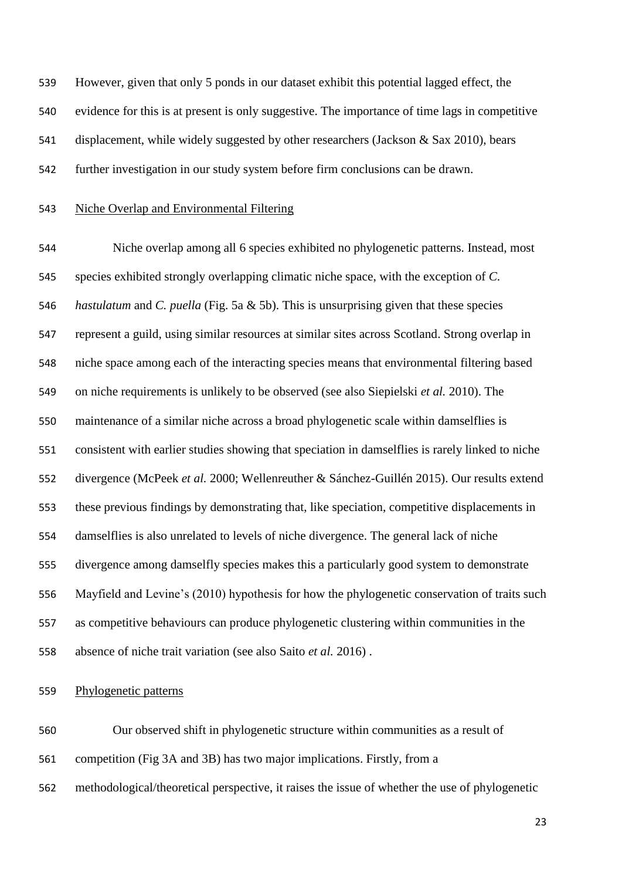However, given that only 5 ponds in our dataset exhibit this potential lagged effect, the evidence for this is at present is only suggestive. The importance of time lags in competitive displacement, while widely suggested by other researchers (Jackson & Sax 2010), bears further investigation in our study system before firm conclusions can be drawn.

# Niche Overlap and Environmental Filtering

 Niche overlap among all 6 species exhibited no phylogenetic patterns. Instead, most species exhibited strongly overlapping climatic niche space, with the exception of *C. hastulatum* and *C. puella* (Fig. 5a & 5b). This is unsurprising given that these species represent a guild, using similar resources at similar sites across Scotland. Strong overlap in niche space among each of the interacting species means that environmental filtering based on niche requirements is unlikely to be observed (see also Siepielski *et al.* 2010). The maintenance of a similar niche across a broad phylogenetic scale within damselflies is consistent with earlier studies showing that speciation in damselflies is rarely linked to niche divergence (McPeek *et al.* 2000; Wellenreuther & Sánchez-Guillén 2015). Our results extend these previous findings by demonstrating that, like speciation, competitive displacements in damselflies is also unrelated to levels of niche divergence. The general lack of niche divergence among damselfly species makes this a particularly good system to demonstrate Mayfield and Levine's (2010) hypothesis for how the phylogenetic conservation of traits such as competitive behaviours can produce phylogenetic clustering within communities in the absence of niche trait variation (see also Saito *et al.* 2016) .

Phylogenetic patterns

Our observed shift in phylogenetic structure within communities as a result of

- competition (Fig 3A and 3B) has two major implications. Firstly, from a
- methodological/theoretical perspective, it raises the issue of whether the use of phylogenetic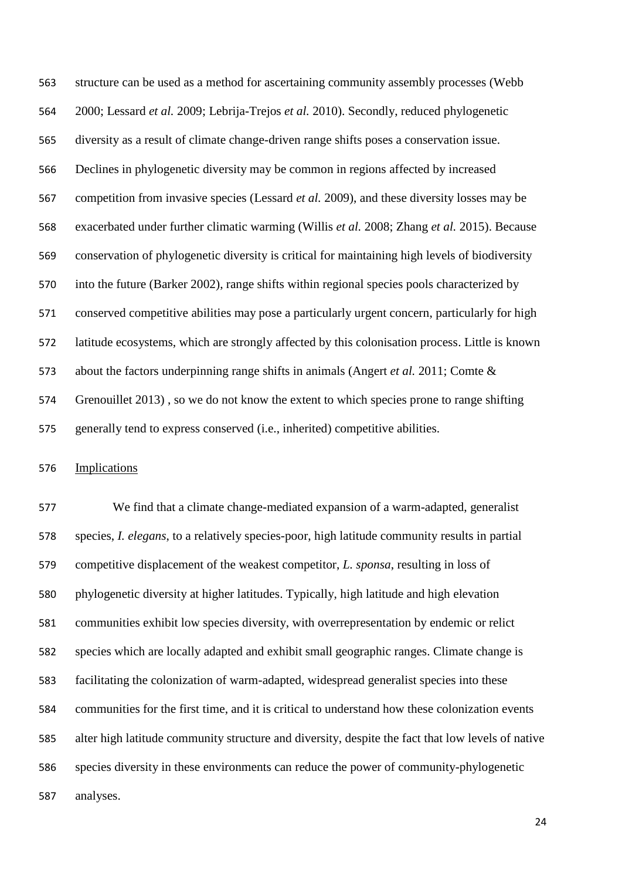structure can be used as a method for ascertaining community assembly processes (Webb 2000; Lessard *et al.* 2009; Lebrija-Trejos *et al.* 2010). Secondly, reduced phylogenetic diversity as a result of climate change-driven range shifts poses a conservation issue. Declines in phylogenetic diversity may be common in regions affected by increased competition from invasive species (Lessard *et al.* 2009), and these diversity losses may be exacerbated under further climatic warming (Willis *et al.* 2008; Zhang *et al.* 2015). Because conservation of phylogenetic diversity is critical for maintaining high levels of biodiversity into the future (Barker 2002), range shifts within regional species pools characterized by conserved competitive abilities may pose a particularly urgent concern, particularly for high latitude ecosystems, which are strongly affected by this colonisation process. Little is known about the factors underpinning range shifts in animals (Angert *et al.* 2011; Comte & Grenouillet 2013) , so we do not know the extent to which species prone to range shifting generally tend to express conserved (i.e., inherited) competitive abilities.

# Implications

 We find that a climate change-mediated expansion of a warm-adapted, generalist species, *I. elegans*, to a relatively species-poor, high latitude community results in partial competitive displacement of the weakest competitor, *L. sponsa*, resulting in loss of phylogenetic diversity at higher latitudes. Typically, high latitude and high elevation communities exhibit low species diversity, with overrepresentation by endemic or relict species which are locally adapted and exhibit small geographic ranges. Climate change is facilitating the colonization of warm-adapted, widespread generalist species into these communities for the first time, and it is critical to understand how these colonization events alter high latitude community structure and diversity, despite the fact that low levels of native species diversity in these environments can reduce the power of community-phylogenetic analyses.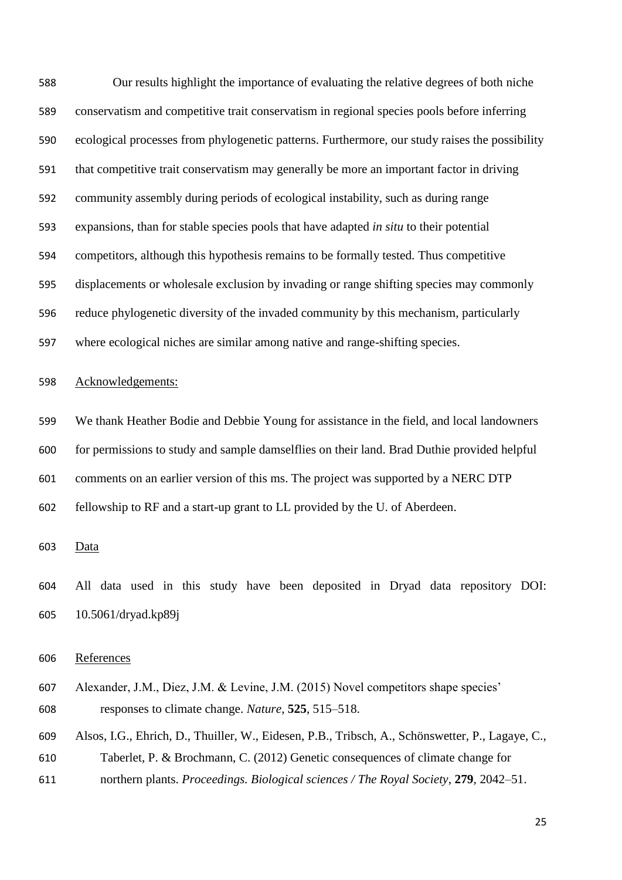Our results highlight the importance of evaluating the relative degrees of both niche conservatism and competitive trait conservatism in regional species pools before inferring ecological processes from phylogenetic patterns. Furthermore, our study raises the possibility that competitive trait conservatism may generally be more an important factor in driving community assembly during periods of ecological instability, such as during range expansions, than for stable species pools that have adapted *in situ* to their potential competitors, although this hypothesis remains to be formally tested. Thus competitive displacements or wholesale exclusion by invading or range shifting species may commonly reduce phylogenetic diversity of the invaded community by this mechanism, particularly where ecological niches are similar among native and range-shifting species. Acknowledgements: We thank Heather Bodie and Debbie Young for assistance in the field, and local landowners for permissions to study and sample damselflies on their land. Brad Duthie provided helpful comments on an earlier version of this ms. The project was supported by a NERC DTP fellowship to RF and a start-up grant to LL provided by the U. of Aberdeen. Data All data used in this study have been deposited in Dryad data repository DOI: 10.5061/dryad.kp89j References

 Alexander, J.M., Diez, J.M. & Levine, J.M. (2015) Novel competitors shape species' responses to climate change. *Nature*, **525**, 515–518.

 Alsos, I.G., Ehrich, D., Thuiller, W., Eidesen, P.B., Tribsch, A., Schönswetter, P., Lagaye, C., Taberlet, P. & Brochmann, C. (2012) Genetic consequences of climate change for

northern plants. *Proceedings. Biological sciences / The Royal Society*, **279**, 2042–51.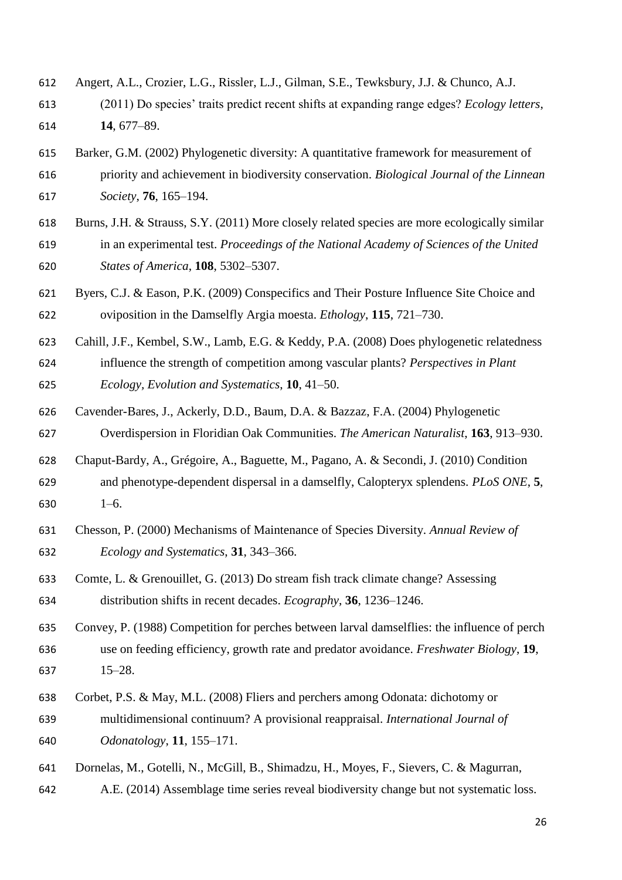- Angert, A.L., Crozier, L.G., Rissler, L.J., Gilman, S.E., Tewksbury, J.J. & Chunco, A.J.
- (2011) Do species' traits predict recent shifts at expanding range edges? *Ecology letters*, **14**, 677–89.
- Barker, G.M. (2002) Phylogenetic diversity: A quantitative framework for measurement of priority and achievement in biodiversity conservation. *Biological Journal of the Linnean Society*, **76**, 165–194.
- Burns, J.H. & Strauss, S.Y. (2011) More closely related species are more ecologically similar in an experimental test. *Proceedings of the National Academy of Sciences of the United States of America*, **108**, 5302–5307.
- Byers, C.J. & Eason, P.K. (2009) Conspecifics and Their Posture Influence Site Choice and oviposition in the Damselfly Argia moesta. *Ethology*, **115**, 721–730.
- Cahill, J.F., Kembel, S.W., Lamb, E.G. & Keddy, P.A. (2008) Does phylogenetic relatedness influence the strength of competition among vascular plants? *Perspectives in Plant Ecology, Evolution and Systematics*, **10**, 41–50.
- Cavender-Bares, J., Ackerly, D.D., Baum, D.A. & Bazzaz, F.A. (2004) Phylogenetic Overdispersion in Floridian Oak Communities. *The American Naturalist*, **163**, 913–930.
- Chaput-Bardy, A., Grégoire, A., Baguette, M., Pagano, A. & Secondi, J. (2010) Condition and phenotype-dependent dispersal in a damselfly, Calopteryx splendens. *PLoS ONE*, **5**, 1–6.
- Chesson, P. (2000) Mechanisms of Maintenance of Species Diversity. *Annual Review of Ecology and Systematics*, **31**, 343–366.
- Comte, L. & Grenouillet, G. (2013) Do stream fish track climate change? Assessing distribution shifts in recent decades. *Ecography*, **36**, 1236–1246.
- Convey, P. (1988) Competition for perches between larval damselflies: the influence of perch use on feeding efficiency, growth rate and predator avoidance. *Freshwater Biology*, **19**, 15–28.
- Corbet, P.S. & May, M.L. (2008) Fliers and perchers among Odonata: dichotomy or multidimensional continuum? A provisional reappraisal. *International Journal of Odonatology*, **11**, 155–171.
- Dornelas, M., Gotelli, N., McGill, B., Shimadzu, H., Moyes, F., Sievers, C. & Magurran,
- A.E. (2014) Assemblage time series reveal biodiversity change but not systematic loss.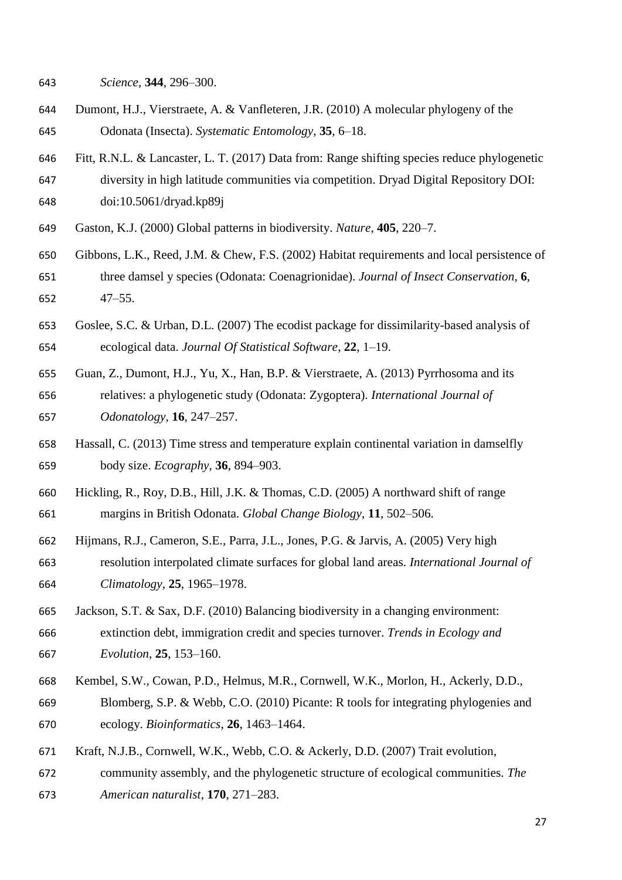- *Science*, **344**, 296–300.
- Dumont, H.J., Vierstraete, A. & Vanfleteren, J.R. (2010) A molecular phylogeny of the Odonata (Insecta). *Systematic Entomology*, **35**, 6–18.
- Fitt, R.N.L. & Lancaster, L. T. (2017) Data from: Range shifting species reduce phylogenetic
- diversity in high latitude communities via competition. Dryad Digital Repository DOI:
- doi:10.5061/dryad.kp89j
- Gaston, K.J. (2000) Global patterns in biodiversity. *Nature*, **405**, 220–7.
- Gibbons, L.K., Reed, J.M. & Chew, F.S. (2002) Habitat requirements and local persistence of three damsel y species (Odonata: Coenagrionidae). *Journal of Insect Conservation*, **6**, 47–55.
- Goslee, S.C. & Urban, D.L. (2007) The ecodist package for dissimilarity-based analysis of
- ecological data. *Journal Of Statistical Software*, **22**, 1–19.
- Guan, Z., Dumont, H.J., Yu, X., Han, B.P. & Vierstraete, A. (2013) Pyrrhosoma and its relatives: a phylogenetic study (Odonata: Zygoptera). *International Journal of Odonatology*, **16**, 247–257.
- Hassall, C. (2013) Time stress and temperature explain continental variation in damselfly body size. *Ecography*, **36**, 894–903.
- Hickling, R., Roy, D.B., Hill, J.K. & Thomas, C.D. (2005) A northward shift of range margins in British Odonata. *Global Change Biology*, **11**, 502–506.
- Hijmans, R.J., Cameron, S.E., Parra, J.L., Jones, P.G. & Jarvis, A. (2005) Very high resolution interpolated climate surfaces for global land areas. *International Journal of Climatology*, **25**, 1965–1978.
- Jackson, S.T. & Sax, D.F. (2010) Balancing biodiversity in a changing environment: extinction debt, immigration credit and species turnover. *Trends in Ecology and Evolution*, **25**, 153–160.
- Kembel, S.W., Cowan, P.D., Helmus, M.R., Cornwell, W.K., Morlon, H., Ackerly, D.D., Blomberg, S.P. & Webb, C.O. (2010) Picante: R tools for integrating phylogenies and ecology. *Bioinformatics*, **26**, 1463–1464.
- Kraft, N.J.B., Cornwell, W.K., Webb, C.O. & Ackerly, D.D. (2007) Trait evolution, community assembly, and the phylogenetic structure of ecological communities. *The American naturalist*, **170**, 271–283.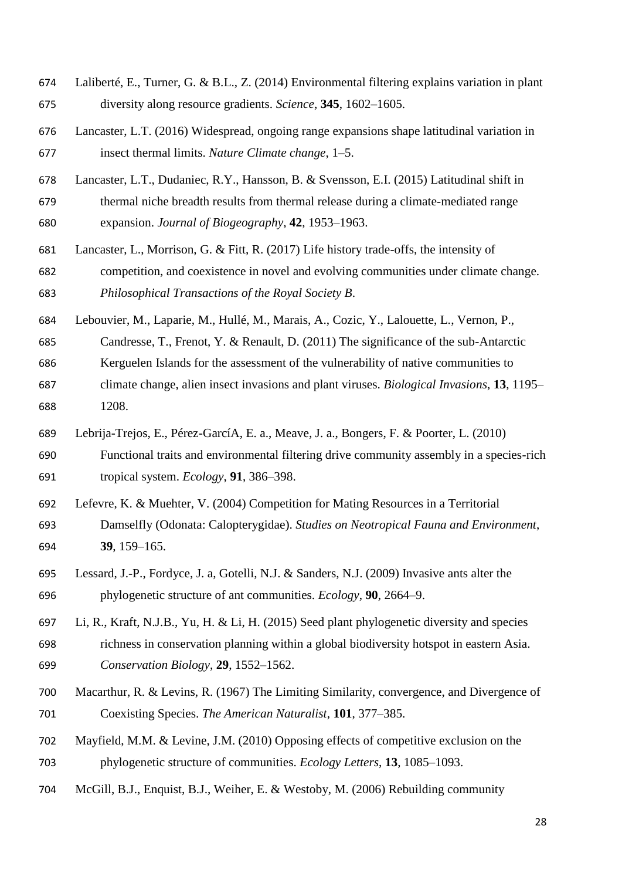- Laliberté, E., Turner, G. & B.L., Z. (2014) Environmental filtering explains variation in plant diversity along resource gradients. *Science*, **345**, 1602–1605.
- Lancaster, L.T. (2016) Widespread, ongoing range expansions shape latitudinal variation in insect thermal limits. *Nature Climate change*, 1–5.
- Lancaster, L.T., Dudaniec, R.Y., Hansson, B. & Svensson, E.I. (2015) Latitudinal shift in
- thermal niche breadth results from thermal release during a climate-mediated range expansion. *Journal of Biogeography*, **42**, 1953–1963.
- Lancaster, L., Morrison, G. & Fitt, R. (2017) Life history trade-offs, the intensity of competition, and coexistence in novel and evolving communities under climate change. *Philosophical Transactions of the Royal Society B*.
- Lebouvier, M., Laparie, M., Hullé, M., Marais, A., Cozic, Y., Lalouette, L., Vernon, P.,
- Candresse, T., Frenot, Y. & Renault, D. (2011) The significance of the sub-Antarctic
- Kerguelen Islands for the assessment of the vulnerability of native communities to
- climate change, alien insect invasions and plant viruses. *Biological Invasions*, **13**, 1195– 1208.
- Lebrija-Trejos, E., Pérez-GarcíA, E. a., Meave, J. a., Bongers, F. & Poorter, L. (2010)
- Functional traits and environmental filtering drive community assembly in a species-rich tropical system. *Ecology*, **91**, 386–398.
- Lefevre, K. & Muehter, V. (2004) Competition for Mating Resources in a Territorial Damselfly (Odonata: Calopterygidae). *Studies on Neotropical Fauna and Environment*, **39**, 159–165.
- Lessard, J.-P., Fordyce, J. a, Gotelli, N.J. & Sanders, N.J. (2009) Invasive ants alter the phylogenetic structure of ant communities. *Ecology*, **90**, 2664–9.
- Li, R., Kraft, N.J.B., Yu, H. & Li, H. (2015) Seed plant phylogenetic diversity and species richness in conservation planning within a global biodiversity hotspot in eastern Asia. *Conservation Biology*, **29**, 1552–1562.
- Macarthur, R. & Levins, R. (1967) The Limiting Similarity, convergence, and Divergence of Coexisting Species. *The American Naturalist*, **101**, 377–385.
- Mayfield, M.M. & Levine, J.M. (2010) Opposing effects of competitive exclusion on the phylogenetic structure of communities. *Ecology Letters*, **13**, 1085–1093.
- McGill, B.J., Enquist, B.J., Weiher, E. & Westoby, M. (2006) Rebuilding community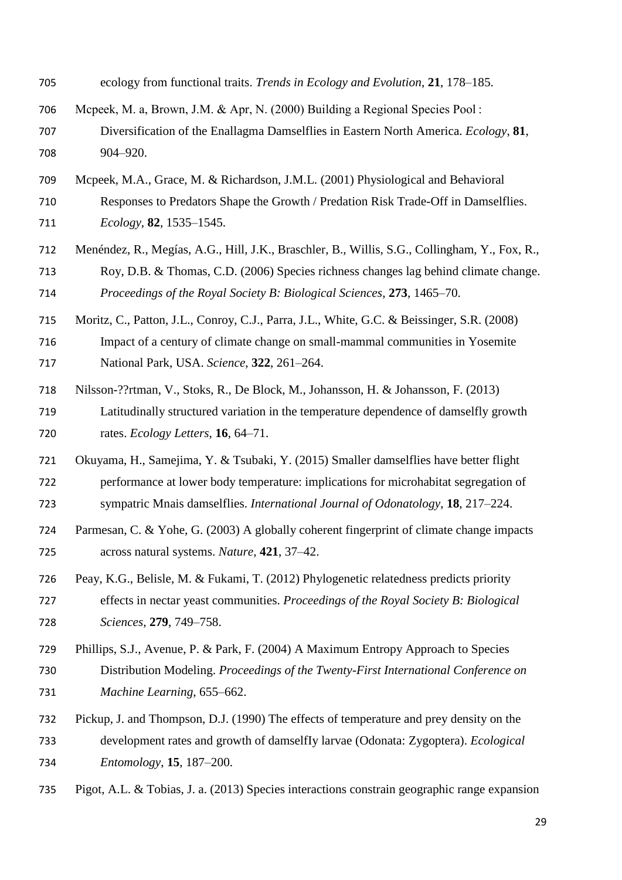- ecology from functional traits. *Trends in Ecology and Evolution*, **21**, 178–185.
- Mcpeek, M. a, Brown, J.M. & Apr, N. (2000) Building a Regional Species Pool : Diversification of the Enallagma Damselflies in Eastern North America. *Ecology*, **81**, 904–920.
- Mcpeek, M.A., Grace, M. & Richardson, J.M.L. (2001) Physiological and Behavioral
- Responses to Predators Shape the Growth / Predation Risk Trade-Off in Damselflies. *Ecology*, **82**, 1535–1545.
- Menéndez, R., Megías, A.G., Hill, J.K., Braschler, B., Willis, S.G., Collingham, Y., Fox, R., Roy, D.B. & Thomas, C.D. (2006) Species richness changes lag behind climate change. *Proceedings of the Royal Society B: Biological Sciences*, **273**, 1465–70.
- Moritz, C., Patton, J.L., Conroy, C.J., Parra, J.L., White, G.C. & Beissinger, S.R. (2008)
- Impact of a century of climate change on small-mammal communities in Yosemite National Park, USA. *Science*, **322**, 261–264.
- Nilsson-??rtman, V., Stoks, R., De Block, M., Johansson, H. & Johansson, F. (2013)
- Latitudinally structured variation in the temperature dependence of damselfly growth rates. *Ecology Letters*, **16**, 64–71.
- Okuyama, H., Samejima, Y. & Tsubaki, Y. (2015) Smaller damselflies have better flight
- performance at lower body temperature: implications for microhabitat segregation of sympatric Mnais damselflies. *International Journal of Odonatology*, **18**, 217–224.
- Parmesan, C. & Yohe, G. (2003) A globally coherent fingerprint of climate change impacts across natural systems. *Nature*, **421**, 37–42.
- Peay, K.G., Belisle, M. & Fukami, T. (2012) Phylogenetic relatedness predicts priority effects in nectar yeast communities. *Proceedings of the Royal Society B: Biological Sciences*, **279**, 749–758.
- Phillips, S.J., Avenue, P. & Park, F. (2004) A Maximum Entropy Approach to Species
- Distribution Modeling. *Proceedings of the Twenty-First International Conference on Machine Learning*, 655–662.
- Pickup, J. and Thompson, D.J. (1990) The effects of temperature and prey density on the development rates and growth of damselfIy larvae (Odonata: Zygoptera). *Ecological Entomology*, **15**, 187–200.
- Pigot, A.L. & Tobias, J. a. (2013) Species interactions constrain geographic range expansion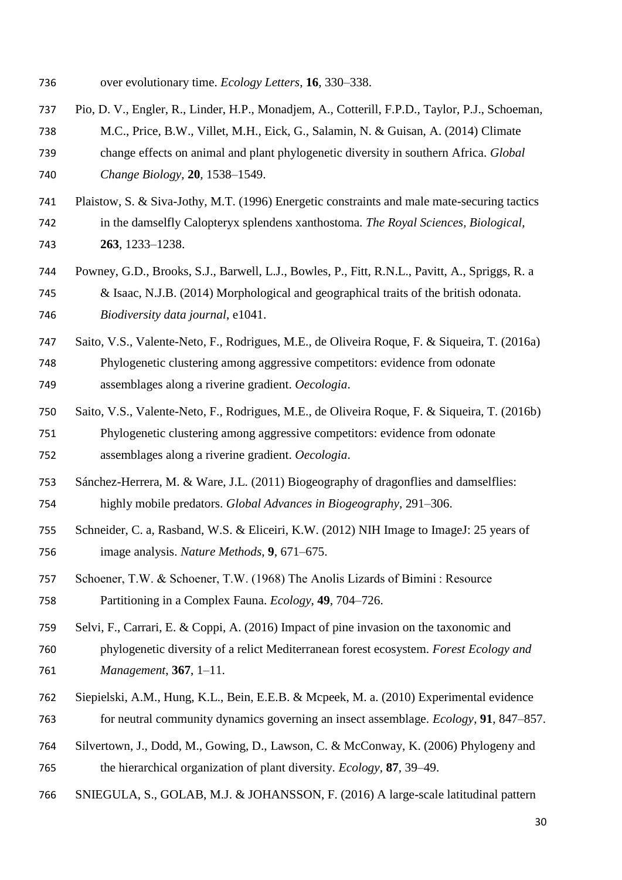- over evolutionary time. *Ecology Letters*, **16**, 330–338.
- Pio, D. V., Engler, R., Linder, H.P., Monadjem, A., Cotterill, F.P.D., Taylor, P.J., Schoeman, M.C., Price, B.W., Villet, M.H., Eick, G., Salamin, N. & Guisan, A. (2014) Climate change effects on animal and plant phylogenetic diversity in southern Africa. *Global Change Biology*, **20**, 1538–1549.
- Plaistow, S. & Siva-Jothy, M.T. (1996) Energetic constraints and male mate-securing tactics in the damselfly Calopteryx splendens xanthostoma. *The Royal Sciences, Biological*, **263**, 1233–1238.
- Powney, G.D., Brooks, S.J., Barwell, L.J., Bowles, P., Fitt, R.N.L., Pavitt, A., Spriggs, R. a & Isaac, N.J.B. (2014) Morphological and geographical traits of the british odonata. *Biodiversity data journal*, e1041.
- Saito, V.S., Valente-Neto, F., Rodrigues, M.E., de Oliveira Roque, F. & Siqueira, T. (2016a) Phylogenetic clustering among aggressive competitors: evidence from odonate assemblages along a riverine gradient. *Oecologia*.
- Saito, V.S., Valente-Neto, F., Rodrigues, M.E., de Oliveira Roque, F. & Siqueira, T. (2016b) Phylogenetic clustering among aggressive competitors: evidence from odonate assemblages along a riverine gradient. *Oecologia*.
- Sánchez-Herrera, M. & Ware, J.L. (2011) Biogeography of dragonflies and damselflies: highly mobile predators. *Global Advances in Biogeography*, 291–306.
- Schneider, C. a, Rasband, W.S. & Eliceiri, K.W. (2012) NIH Image to ImageJ: 25 years of image analysis. *Nature Methods*, **9**, 671–675.
- Schoener, T.W. & Schoener, T.W. (1968) The Anolis Lizards of Bimini : Resource Partitioning in a Complex Fauna. *Ecology*, **49**, 704–726.
- Selvi, F., Carrari, E. & Coppi, A. (2016) Impact of pine invasion on the taxonomic and phylogenetic diversity of a relict Mediterranean forest ecosystem. *Forest Ecology and Management*, **367**, 1–11.
- Siepielski, A.M., Hung, K.L., Bein, E.E.B. & Mcpeek, M. a. (2010) Experimental evidence for neutral community dynamics governing an insect assemblage. *Ecology*, **91**, 847–857.
- Silvertown, J., Dodd, M., Gowing, D., Lawson, C. & McConway, K. (2006) Phylogeny and
- the hierarchical organization of plant diversity. *Ecology*, **87**, 39–49.
- SNIEGULA, S., GOLAB, M.J. & JOHANSSON, F. (2016) A large-scale latitudinal pattern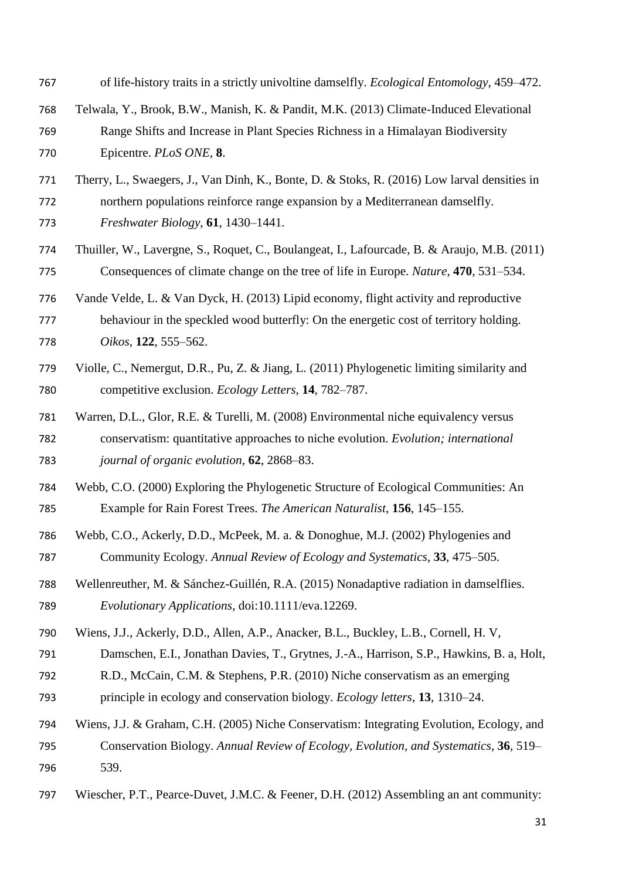- of life-history traits in a strictly univoltine damselfly. *Ecological Entomology*, 459–472.
- Telwala, Y., Brook, B.W., Manish, K. & Pandit, M.K. (2013) Climate-Induced Elevational Range Shifts and Increase in Plant Species Richness in a Himalayan Biodiversity Epicentre. *PLoS ONE*, **8**.
- Therry, L., Swaegers, J., Van Dinh, K., Bonte, D. & Stoks, R. (2016) Low larval densities in
- northern populations reinforce range expansion by a Mediterranean damselfly.
- *Freshwater Biology*, **61**, 1430–1441.
- Thuiller, W., Lavergne, S., Roquet, C., Boulangeat, I., Lafourcade, B. & Araujo, M.B. (2011) Consequences of climate change on the tree of life in Europe. *Nature*, **470**, 531–534.
- Vande Velde, L. & Van Dyck, H. (2013) Lipid economy, flight activity and reproductive 777 behaviour in the speckled wood butterfly: On the energetic cost of territory holding. *Oikos*, **122**, 555–562.
- Violle, C., Nemergut, D.R., Pu, Z. & Jiang, L. (2011) Phylogenetic limiting similarity and competitive exclusion. *Ecology Letters*, **14**, 782–787.
- Warren, D.L., Glor, R.E. & Turelli, M. (2008) Environmental niche equivalency versus conservatism: quantitative approaches to niche evolution. *Evolution; international journal of organic evolution*, **62**, 2868–83.
- Webb, C.O. (2000) Exploring the Phylogenetic Structure of Ecological Communities: An Example for Rain Forest Trees. *The American Naturalist*, **156**, 145–155.
- Webb, C.O., Ackerly, D.D., McPeek, M. a. & Donoghue, M.J. (2002) Phylogenies and Community Ecology. *Annual Review of Ecology and Systematics*, **33**, 475–505.
- Wellenreuther, M. & Sánchez-Guillén, R.A. (2015) Nonadaptive radiation in damselflies. *Evolutionary Applications*, doi:10.1111/eva.12269.
- Wiens, J.J., Ackerly, D.D., Allen, A.P., Anacker, B.L., Buckley, L.B., Cornell, H. V,
- Damschen, E.I., Jonathan Davies, T., Grytnes, J.-A., Harrison, S.P., Hawkins, B. a, Holt,
- R.D., McCain, C.M. & Stephens, P.R. (2010) Niche conservatism as an emerging
- principle in ecology and conservation biology. *Ecology letters*, **13**, 1310–24.
- Wiens, J.J. & Graham, C.H. (2005) Niche Conservatism: Integrating Evolution, Ecology, and Conservation Biology. *Annual Review of Ecology, Evolution, and Systematics*, **36**, 519– 539.
- Wiescher, P.T., Pearce-Duvet, J.M.C. & Feener, D.H. (2012) Assembling an ant community: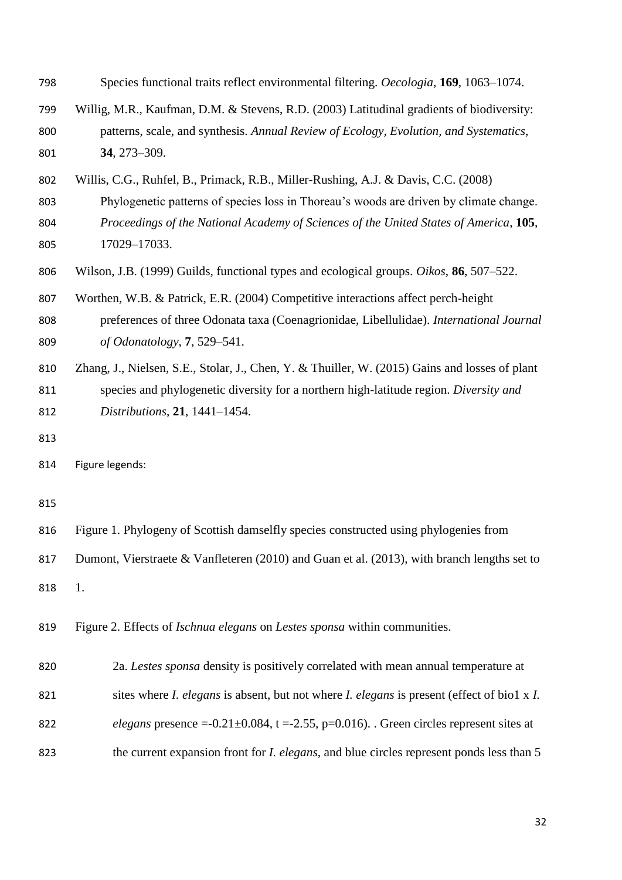| 798 |  | Species functional traits reflect environmental filtering. Oecologia, 169, 1063–1074. |  |  |  |
|-----|--|---------------------------------------------------------------------------------------|--|--|--|
|-----|--|---------------------------------------------------------------------------------------|--|--|--|

- Willig, M.R., Kaufman, D.M. & Stevens, R.D. (2003) Latitudinal gradients of biodiversity: patterns, scale, and synthesis. *Annual Review of Ecology, Evolution, and Systematics*, **34**, 273–309.
- Willis, C.G., Ruhfel, B., Primack, R.B., Miller-Rushing, A.J. & Davis, C.C. (2008)
- Phylogenetic patterns of species loss in Thoreau's woods are driven by climate change.
- *Proceedings of the National Academy of Sciences of the United States of America*, **105**, 17029–17033.
- Wilson, J.B. (1999) Guilds, functional types and ecological groups. *Oikos*, **86**, 507–522.
- Worthen, W.B. & Patrick, E.R. (2004) Competitive interactions affect perch-height preferences of three Odonata taxa (Coenagrionidae, Libellulidae). *International Journal of Odonatology*, **7**, 529–541.
- Zhang, J., Nielsen, S.E., Stolar, J., Chen, Y. & Thuiller, W. (2015) Gains and losses of plant species and phylogenetic diversity for a northern high-latitude region. *Diversity and Distributions*, **21**, 1441–1454.
- 

| 816 | Figure 1. Phylogeny of Scottish damselfly species constructed using phylogenies from        |
|-----|---------------------------------------------------------------------------------------------|
| 817 | Dumont, Vierstraete & Vanfleteren (2010) and Guan et al. (2013), with branch lengths set to |

1.

Figure 2. Effects of *Ischnua elegans* on *Lestes sponsa* within communities.

 2a. *Lestes sponsa* density is positively correlated with mean annual temperature at sites where *I. elegans* is absent, but not where *I. elegans* is present (effect of bio1 x *I. elegans* presence  $=-0.21 \pm 0.084$ ,  $t = -2.55$ ,  $p = 0.016$ ). Green circles represent sites at the current expansion front for *I. elegans*, and blue circles represent ponds less than 5

Figure legends: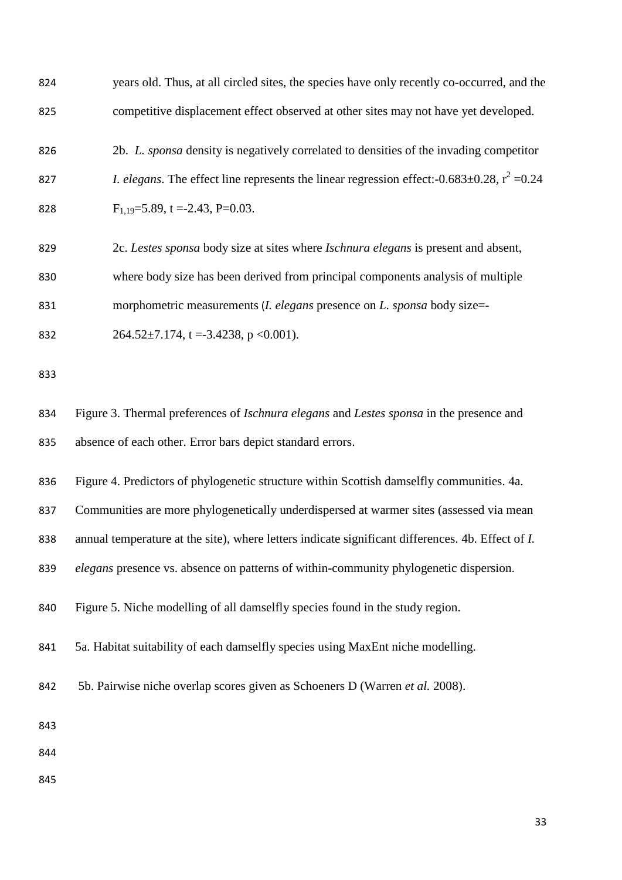| 824 | years old. Thus, at all circled sites, the species have only recently co-occurred, and the                |
|-----|-----------------------------------------------------------------------------------------------------------|
| 825 | competitive displacement effect observed at other sites may not have yet developed.                       |
| 826 | 2b. L. sponsa density is negatively correlated to densities of the invading competitor                    |
| 827 | <i>I. elegans.</i> The effect line represents the linear regression effect:-0.683 $\pm$ 0.28, $r^2$ =0.24 |
| 828 | $F_{1,19} = 5.89$ , t = -2.43, P=0.03.                                                                    |
| 829 | 2c. Lestes sponsa body size at sites where Ischnura elegans is present and absent,                        |
| 830 | where body size has been derived from principal components analysis of multiple                           |
| 831 | morphometric measurements ( <i>I. elegans</i> presence on <i>L. sponsa</i> body size=-                    |
| 832 | $264.52 \pm 7.174$ , t = -3.4238, p < 0.001).                                                             |
| 833 |                                                                                                           |
| 834 | Figure 3. Thermal preferences of Ischnura elegans and Lestes sponsa in the presence and                   |
| 835 | absence of each other. Error bars depict standard errors.                                                 |
| 836 | Figure 4. Predictors of phylogenetic structure within Scottish damselfly communities. 4a.                 |
| 837 | Communities are more phylogenetically underdispersed at warmer sites (assessed via mean                   |
| 838 | annual temperature at the site), where letters indicate significant differences. 4b. Effect of I.         |
| 839 | elegans presence vs. absence on patterns of within-community phylogenetic dispersion.                     |
| 840 | Figure 5. Niche modelling of all damselfly species found in the study region.                             |
| 841 | 5a. Habitat suitability of each damselfly species using MaxEnt niche modelling.                           |
| 842 | 5b. Pairwise niche overlap scores given as Schoeners D (Warren et al. 2008).                              |
| 843 |                                                                                                           |
| 844 |                                                                                                           |
| 845 |                                                                                                           |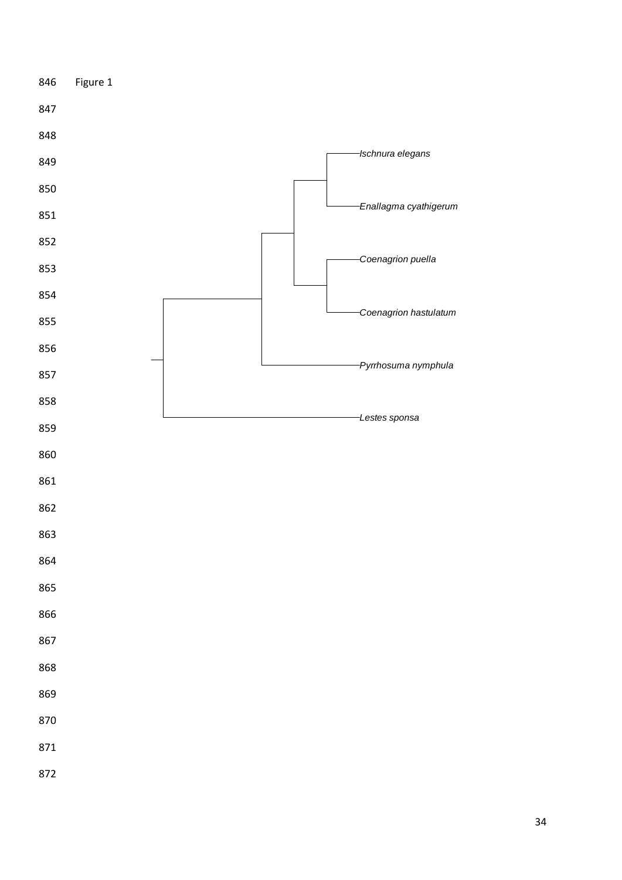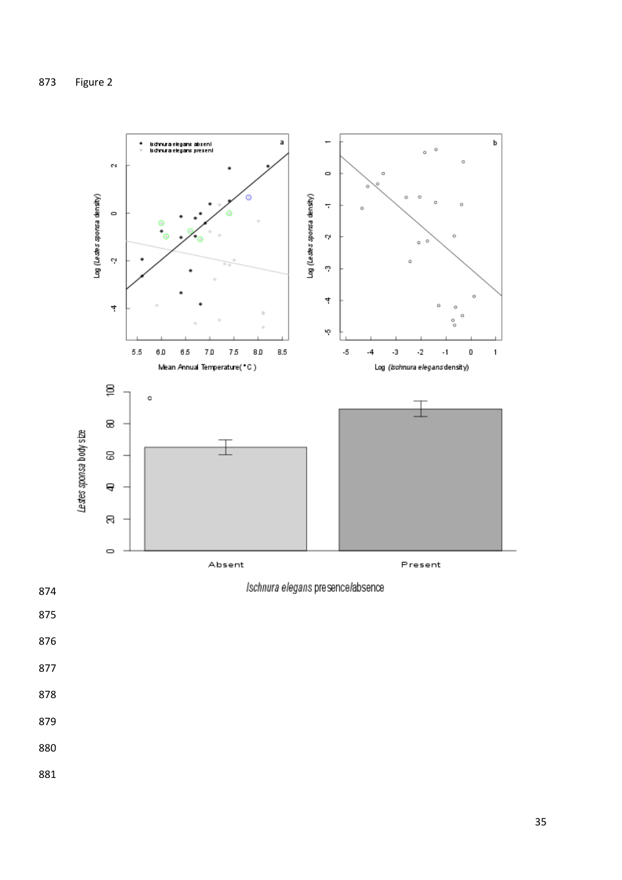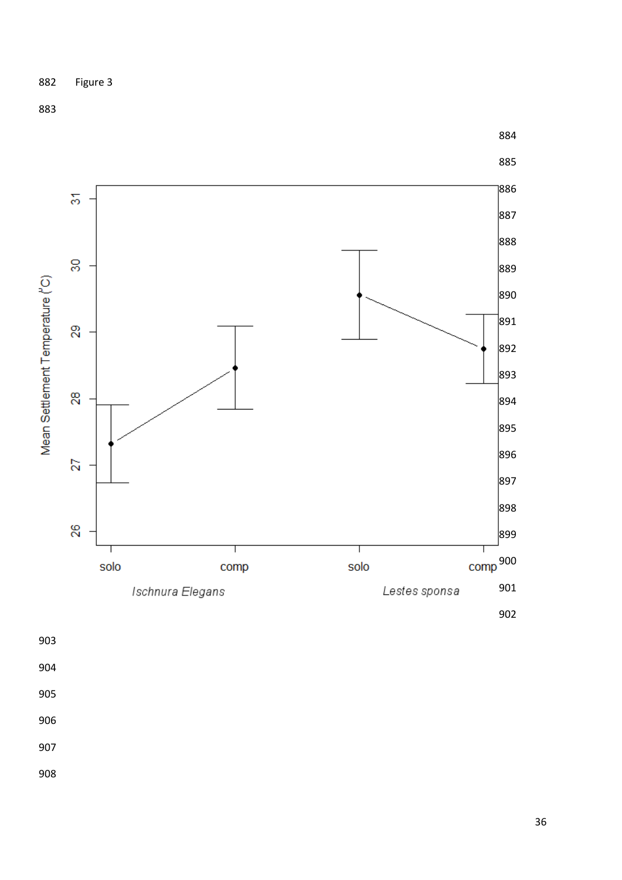

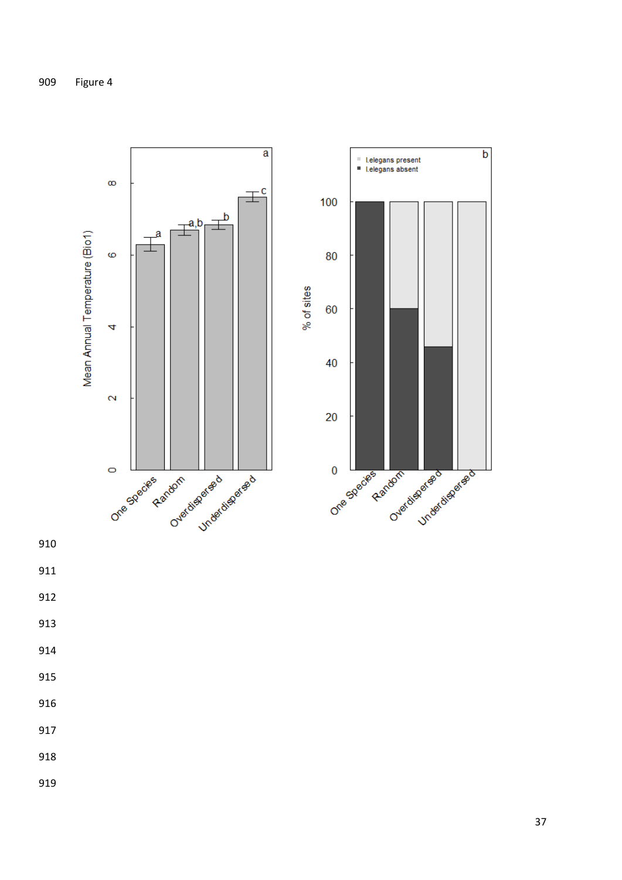

- 
- 
- 
- 
- 
- 
- 
- 
- 
- 
-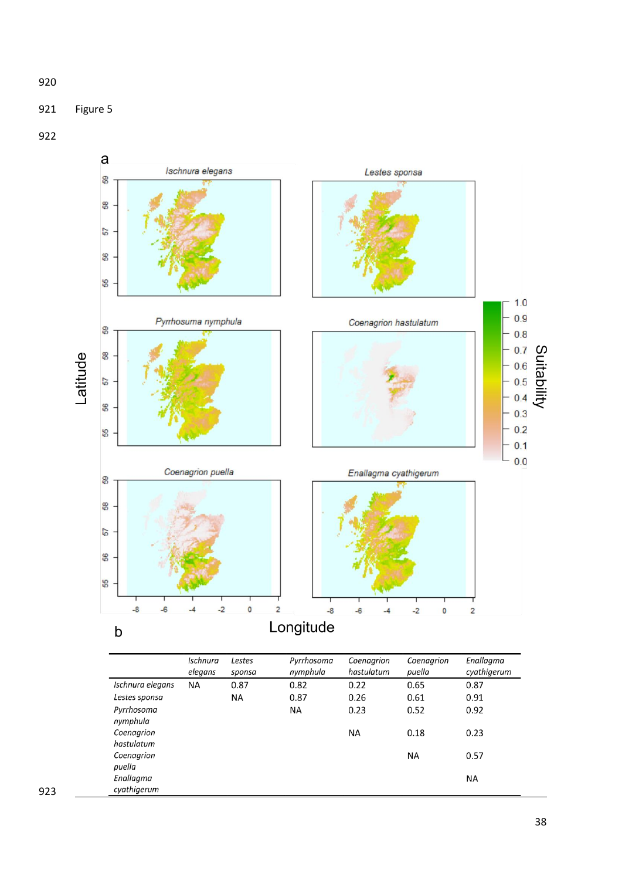

Figure 5



|                        | Ischnura<br>elegans | Lestes<br>sponsa | Pyrrhosoma<br>nymphula | Coenagrion<br>hastulatum | Coenagrion<br>puella | Enallagma<br>cyathigerum |
|------------------------|---------------------|------------------|------------------------|--------------------------|----------------------|--------------------------|
| Ischnura elegans       | <b>NA</b>           | 0.87             | 0.82                   | 0.22                     | 0.65                 | 0.87                     |
| Lestes sponsa          |                     | <b>NA</b>        | 0.87                   | 0.26                     | 0.61                 | 0.91                     |
| Pyrrhosoma<br>nymphula |                     |                  | ΝA                     | 0.23                     | 0.52                 | 0.92                     |
| Coenagrion             |                     |                  |                        | <b>NA</b>                | 0.18                 | 0.23                     |
| hastulatum             |                     |                  |                        |                          |                      |                          |
| Coenagrion             |                     |                  |                        |                          | <b>NA</b>            | 0.57                     |
| puella                 |                     |                  |                        |                          |                      |                          |
| Enallagma              |                     |                  |                        |                          |                      | <b>NA</b>                |
| cyathigerum            |                     |                  |                        |                          |                      |                          |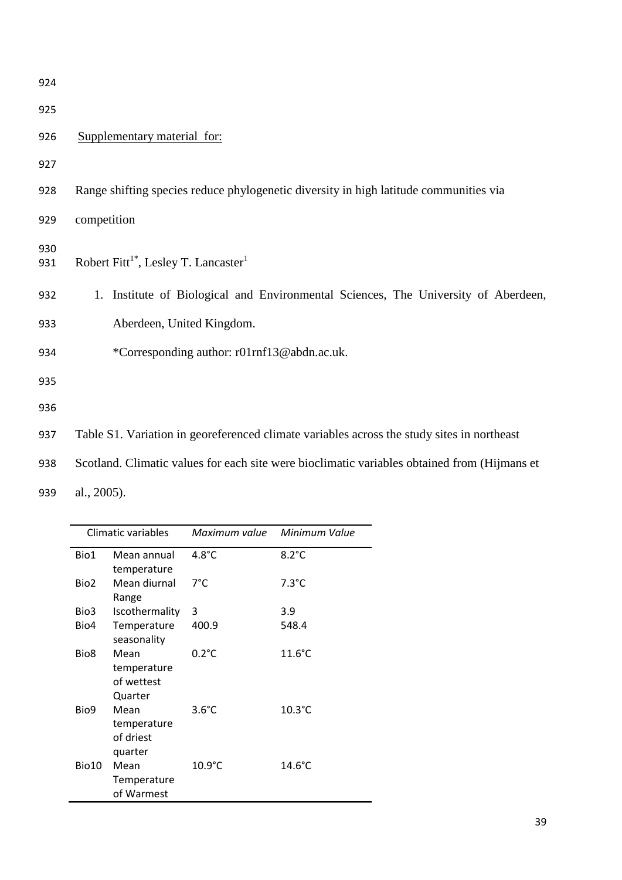924 925 926 Supplementary material for: 927 928 Range shifting species reduce phylogenetic diversity in high latitude communities via 929 competition 930 Robert Fitt<sup>1\*</sup>, Lesley T. Lancaster<sup>1</sup> 931 932 1. Institute of Biological and Environmental Sciences, The University of Aberdeen, 933 Aberdeen, United Kingdom. 934 \*Corresponding author: r01rnf13@abdn.ac.uk. 935 936 937 Table S1. Variation in georeferenced climate variables across the study sites in northeast 938 Scotland. Climatic values for each site were bioclimatic variables obtained from (Hijmans et

939 al., 2005).

|                  | Climatic variables                           | Maximum value    | Minimum Value    |
|------------------|----------------------------------------------|------------------|------------------|
| Bio1             | Mean annual<br>temperature                   | $4.8^{\circ}$ C  | $8.2^{\circ}$ C  |
| Bio <sub>2</sub> | Mean diurnal<br>Range                        | $7^{\circ}$ C    | $7.3^{\circ}$ C  |
| Bio3             | Iscothermality                               | 3                | 3.9              |
| Bio4             | Temperature<br>seasonality                   | 400.9            | 548.4            |
| Bio <sub>8</sub> | Mean<br>temperature<br>of wettest<br>Quarter | $0.2^{\circ}$ C  | $11.6^{\circ}$ C |
| Bio9             | Mean<br>temperature<br>of driest<br>quarter  | $3.6^{\circ}$ C  | $10.3^{\circ}$ C |
| Bio10            | Mean<br>Temperature<br>of Warmest            | $10.9^{\circ}$ C | $14.6^{\circ}$ C |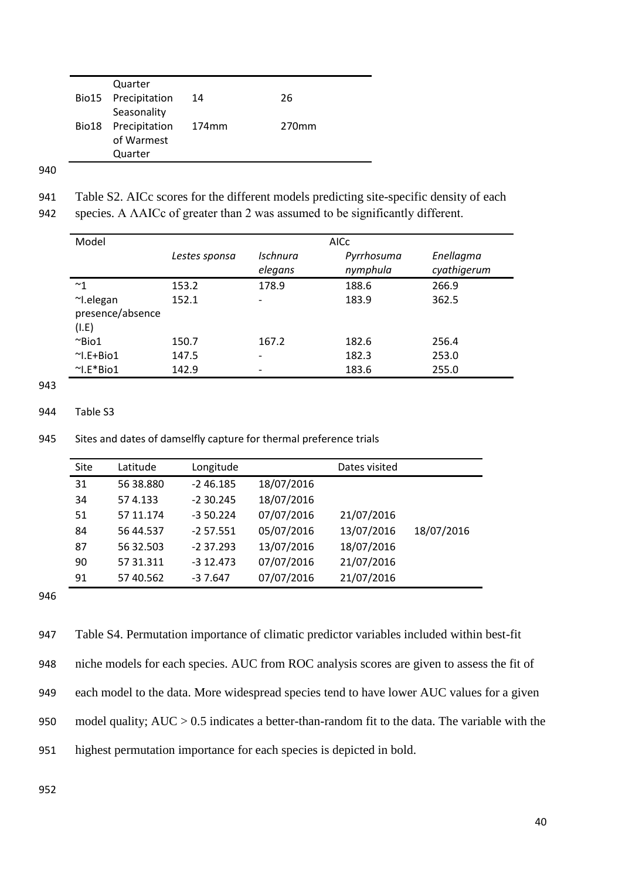|       | Quarter             |                   |                   |
|-------|---------------------|-------------------|-------------------|
|       | Bio15 Precipitation | 14                | 26                |
|       | Seasonality         |                   |                   |
| Bio18 | Precipitation       | 174 <sub>mm</sub> | 270 <sub>mm</sub> |
|       | of Warmest          |                   |                   |
|       | Quarter             |                   |                   |

| 941 |  | Table S2. AICc scores for the different models predicting site-specific density of each |  |  |  |  |  |  |  |
|-----|--|-----------------------------------------------------------------------------------------|--|--|--|--|--|--|--|
|-----|--|-----------------------------------------------------------------------------------------|--|--|--|--|--|--|--|

942 species. A ΛAICc of greater than 2 was assumed to be significantly different.

| Model            |               |                          | <b>AICC</b>            |                          |
|------------------|---------------|--------------------------|------------------------|--------------------------|
|                  | Lestes sponsa | Ischnura<br>elegans      | Pyrrhosuma<br>nymphula | Enellagma<br>cyathigerum |
| $~^{\sim}$ 1     | 153.2         | 178.9                    | 188.6                  | 266.9                    |
| $\sim$ I.elegan  | 152.1         |                          | 183.9                  | 362.5                    |
| presence/absence |               |                          |                        |                          |
| (I.E)            |               |                          |                        |                          |
| $\sim$ Bio1      | 150.7         | 167.2                    | 182.6                  | 256.4                    |
| $\sim$ I.E+Bio1  | 147.5         | $\overline{\phantom{a}}$ | 182.3                  | 253.0                    |
| $\sim$ I.E*Bio1  | 142.9         |                          | 183.6                  | 255.0                    |

943

## 944 Table S3

945 Sites and dates of damselfly capture for thermal preference trials

| Site | Latitude  | Longitude   |            | Dates visited |            |
|------|-----------|-------------|------------|---------------|------------|
| 31   | 56 38.880 | $-246.185$  | 18/07/2016 |               |            |
| 34   | 574.133   | $-230.245$  | 18/07/2016 |               |            |
| 51   | 57 11.174 | $-350.224$  | 07/07/2016 | 21/07/2016    |            |
| 84   | 56 44.537 | $-257.551$  | 05/07/2016 | 13/07/2016    | 18/07/2016 |
| 87   | 56 32.503 | $-2.37.293$ | 13/07/2016 | 18/07/2016    |            |
| 90   | 57 31.311 | $-312.473$  | 07/07/2016 | 21/07/2016    |            |
| 91   | 57 40.562 | $-37.647$   | 07/07/2016 | 21/07/2016    |            |

946

 Table S4. Permutation importance of climatic predictor variables included within best-fit niche models for each species. AUC from ROC analysis scores are given to assess the fit of each model to the data. More widespread species tend to have lower AUC values for a given model quality; AUC > 0.5 indicates a better-than-random fit to the data. The variable with the highest permutation importance for each species is depicted in bold.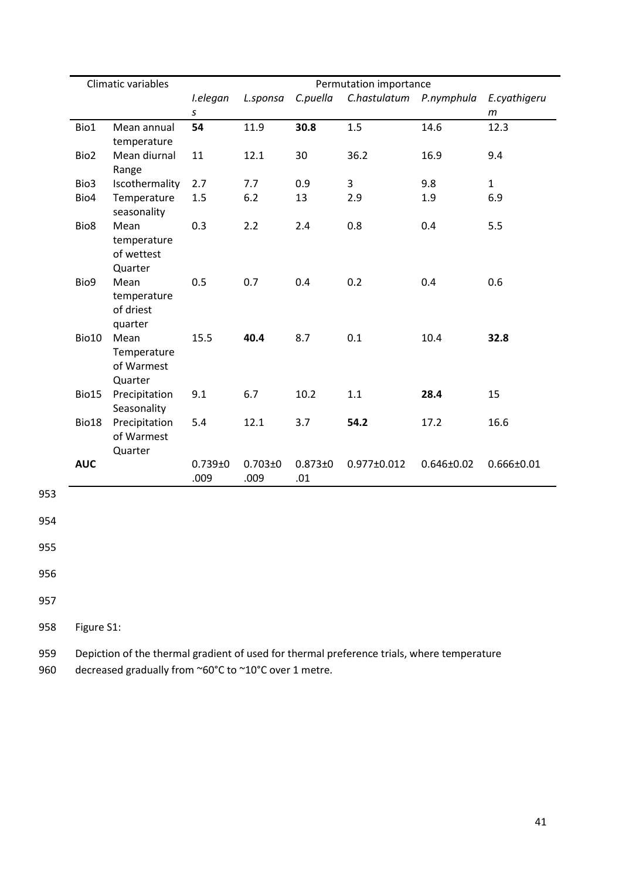|            | Climatic variables |                                              | Permutation importance  |                     |                    |                         |                  |                       |
|------------|--------------------|----------------------------------------------|-------------------------|---------------------|--------------------|-------------------------|------------------|-----------------------|
|            |                    |                                              | I.elegan<br>$\mathsf S$ | L.sponsa            | C.puella           | C.hastulatum P.nymphula |                  | E.cyathigeru<br>$\,m$ |
|            | Bio1               | Mean annual<br>temperature                   | 54                      | 11.9                | 30.8               | 1.5                     | 14.6             | 12.3                  |
|            | Bio2               | Mean diurnal<br>Range                        | 11                      | 12.1                | 30                 | 36.2                    | 16.9             | 9.4                   |
|            | Bio3               | Iscothermality                               | 2.7                     | 7.7                 | 0.9                | 3                       | 9.8              | $\mathbf 1$           |
|            | Bio4               | Temperature<br>seasonality                   | 1.5                     | 6.2                 | 13                 | 2.9                     | 1.9              | 6.9                   |
|            | Bio8               | Mean<br>temperature<br>of wettest<br>Quarter | 0.3                     | 2.2                 | 2.4                | 0.8                     | 0.4              | 5.5                   |
|            | Bio9               | Mean<br>temperature<br>of driest<br>quarter  | 0.5                     | 0.7                 | 0.4                | 0.2                     | 0.4              | 0.6                   |
|            | Bio10              | Mean<br>Temperature<br>of Warmest<br>Quarter | 15.5                    | 40.4                | 8.7                | 0.1                     | 10.4             | 32.8                  |
|            | Bio15              | Precipitation<br>Seasonality                 | 9.1                     | 6.7                 | 10.2               | 1.1                     | 28.4             | 15                    |
|            | Bio18              | Precipitation<br>of Warmest<br>Quarter       | 5.4                     | 12.1                | 3.7                | 54.2                    | 17.2             | 16.6                  |
|            | <b>AUC</b>         |                                              | $0.739 + 0$<br>.009     | $0.703 + 0$<br>.009 | $0.873 + 0$<br>.01 | $0.977 \pm 0.012$       | $0.646 \pm 0.02$ | $0.666 \pm 0.01$      |
| 953<br>954 |                    |                                              |                         |                     |                    |                         |                  |                       |
| 955        |                    |                                              |                         |                     |                    |                         |                  |                       |
| 956        |                    |                                              |                         |                     |                    |                         |                  |                       |

958 Figure S1:

959 Depiction of the thermal gradient of used for thermal preference trials, where temperature

960 decreased gradually from ~60°C to ~10°C over 1 metre.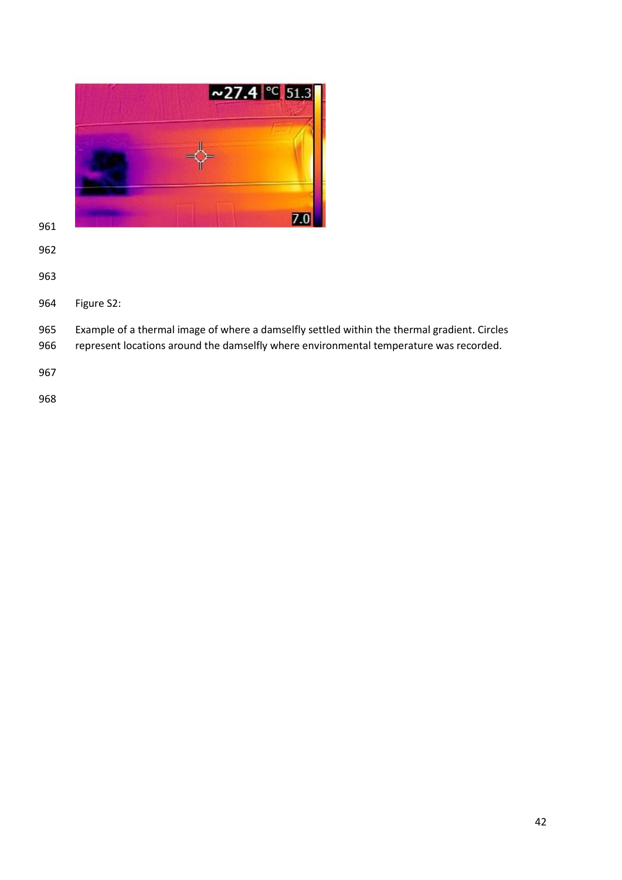| $\sim$ 27.4 °C 51.3 |
|---------------------|
|                     |
|                     |
|                     |
|                     |

- 
- 
- Figure S2:
- Example of a thermal image of where a damselfly settled within the thermal gradient. Circles
- represent locations around the damselfly where environmental temperature was recorded.